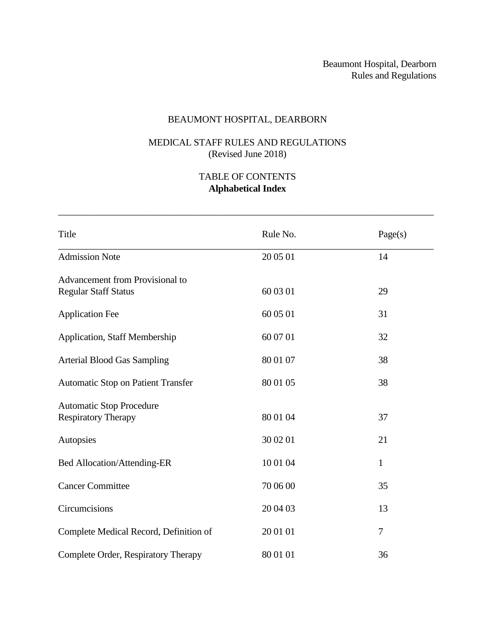# BEAUMONT HOSPITAL, DEARBORN

# MEDICAL STAFF RULES AND REGULATIONS (Revised June 2018)

# TABLE OF CONTENTS **Alphabetical Index**

| Title                                                          | Rule No. | Page(s)      |
|----------------------------------------------------------------|----------|--------------|
| <b>Admission Note</b>                                          | 20 05 01 | 14           |
| Advancement from Provisional to<br><b>Regular Staff Status</b> | 60 03 01 | 29           |
| <b>Application Fee</b>                                         | 60 05 01 | 31           |
| <b>Application, Staff Membership</b>                           | 60 07 01 | 32           |
| <b>Arterial Blood Gas Sampling</b>                             | 80 01 07 | 38           |
| <b>Automatic Stop on Patient Transfer</b>                      | 80 01 05 | 38           |
| <b>Automatic Stop Procedure</b><br><b>Respiratory Therapy</b>  | 80 01 04 | 37           |
| Autopsies                                                      | 30 02 01 | 21           |
| Bed Allocation/Attending-ER                                    | 10 01 04 | $\mathbf{1}$ |
| <b>Cancer Committee</b>                                        | 70 06 00 | 35           |
| Circumcisions                                                  | 20 04 03 | 13           |
| Complete Medical Record, Definition of                         | 20 01 01 | 7            |
| Complete Order, Respiratory Therapy                            | 80 01 01 | 36           |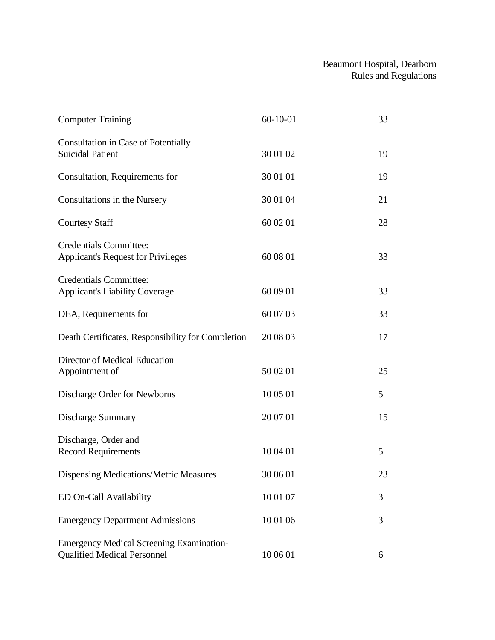| <b>Computer Training</b>                                                              | $60 - 10 - 01$ | 33 |
|---------------------------------------------------------------------------------------|----------------|----|
| <b>Consultation in Case of Potentially</b><br><b>Suicidal Patient</b>                 | 30 01 02       | 19 |
| Consultation, Requirements for                                                        | 30 01 01       | 19 |
| Consultations in the Nursery                                                          | 30 01 04       | 21 |
| <b>Courtesy Staff</b>                                                                 | 60 02 01       | 28 |
| <b>Credentials Committee:</b><br><b>Applicant's Request for Privileges</b>            | 60 08 01       | 33 |
| <b>Credentials Committee:</b><br><b>Applicant's Liability Coverage</b>                | 60 09 01       | 33 |
| DEA, Requirements for                                                                 | 60 07 03       | 33 |
| Death Certificates, Responsibility for Completion                                     | 20 08 03       | 17 |
| Director of Medical Education<br>Appointment of                                       | 50 02 01       | 25 |
| Discharge Order for Newborns                                                          | 10 05 01       | 5  |
| <b>Discharge Summary</b>                                                              | 20 07 01       | 15 |
| Discharge, Order and<br><b>Record Requirements</b>                                    | 10 04 01       | 5  |
| Dispensing Medications/Metric Measures                                                | 30 06 01       | 23 |
| ED On-Call Availability                                                               | 10 01 07       | 3  |
| <b>Emergency Department Admissions</b>                                                | 10 01 06       | 3  |
| <b>Emergency Medical Screening Examination-</b><br><b>Qualified Medical Personnel</b> | 10 06 01       | 6  |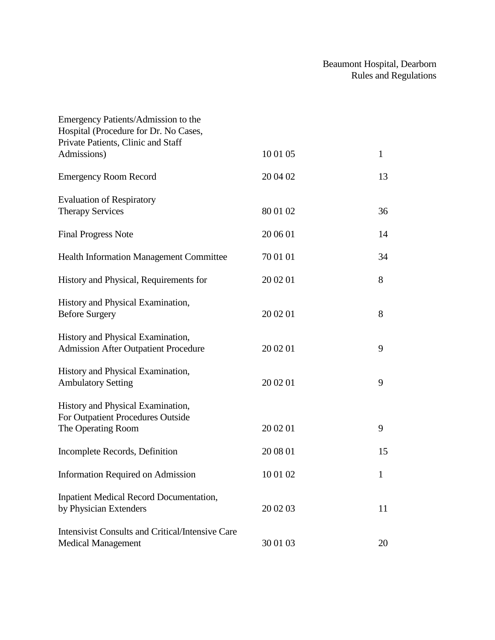| Emergency Patients/Admission to the                     |          |              |
|---------------------------------------------------------|----------|--------------|
| Hospital (Procedure for Dr. No Cases,                   |          |              |
| Private Patients, Clinic and Staff                      |          |              |
| Admissions)                                             | 10 01 05 | $\mathbf{1}$ |
| <b>Emergency Room Record</b>                            | 20 04 02 | 13           |
| <b>Evaluation of Respiratory</b>                        |          |              |
| <b>Therapy Services</b>                                 | 80 01 02 | 36           |
| <b>Final Progress Note</b>                              | 20 06 01 | 14           |
| <b>Health Information Management Committee</b>          | 70 01 01 | 34           |
| History and Physical, Requirements for                  | 20 02 01 | 8            |
| History and Physical Examination,                       |          |              |
| <b>Before Surgery</b>                                   | 20 02 01 | 8            |
| History and Physical Examination,                       |          |              |
| <b>Admission After Outpatient Procedure</b>             | 20 02 01 | 9            |
| History and Physical Examination,                       |          |              |
| <b>Ambulatory Setting</b>                               | 20 02 01 | 9            |
| History and Physical Examination,                       |          |              |
| For Outpatient Procedures Outside                       |          |              |
| The Operating Room                                      | 20 02 01 | 9            |
| Incomplete Records, Definition                          | 20 08 01 | 15           |
| <b>Information Required on Admission</b>                | 10 01 02 | $\mathbf 1$  |
| Inpatient Medical Record Documentation,                 |          |              |
| by Physician Extenders                                  | 20 02 03 | 11           |
| <b>Intensivist Consults and Critical/Intensive Care</b> |          |              |
| <b>Medical Management</b>                               | 30 01 03 | 20           |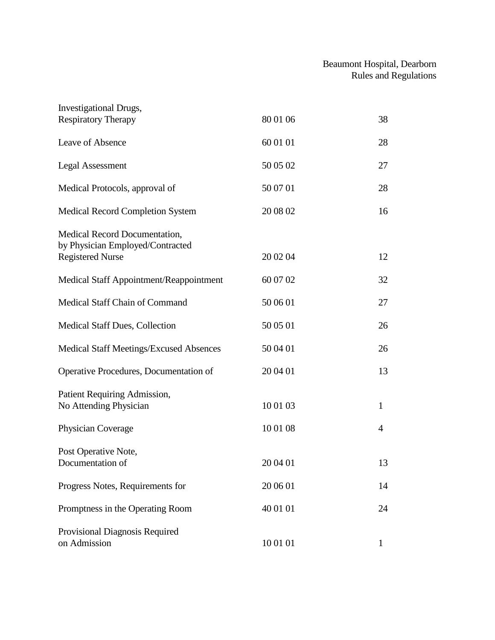| <b>Investigational Drugs,</b>                                                                |          |                |
|----------------------------------------------------------------------------------------------|----------|----------------|
| <b>Respiratory Therapy</b>                                                                   | 80 01 06 | 38             |
| Leave of Absence                                                                             | 60 01 01 | 28             |
| <b>Legal Assessment</b>                                                                      | 50 05 02 | 27             |
| Medical Protocols, approval of                                                               | 50 07 01 | 28             |
| Medical Record Completion System                                                             | 20 08 02 | 16             |
| Medical Record Documentation,<br>by Physician Employed/Contracted<br><b>Registered Nurse</b> | 20 02 04 | 12             |
| Medical Staff Appointment/Reappointment                                                      | 60 07 02 | 32             |
| Medical Staff Chain of Command                                                               | 50 06 01 | 27             |
| Medical Staff Dues, Collection                                                               | 50 05 01 | 26             |
| <b>Medical Staff Meetings/Excused Absences</b>                                               | 50 04 01 | 26             |
| Operative Procedures, Documentation of                                                       | 20 04 01 | 13             |
| Patient Requiring Admission,<br>No Attending Physician                                       | 10 01 03 | $\mathbf{1}$   |
| Physician Coverage                                                                           | 10 01 08 | $\overline{4}$ |
| Post Operative Note,<br>Documentation of                                                     | 20 04 01 | 13             |
| Progress Notes, Requirements for                                                             | 20 06 01 | 14             |
| Promptness in the Operating Room                                                             | 40 01 01 | 24             |
| Provisional Diagnosis Required<br>on Admission                                               | 10 01 01 | 1              |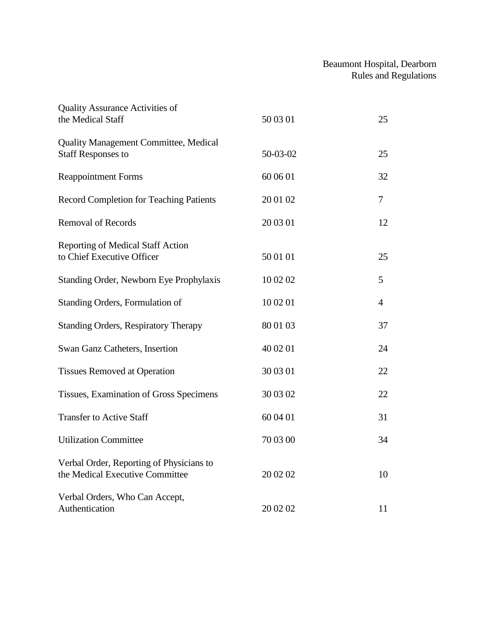| <b>Quality Assurance Activities of</b><br>the Medical Staff                 | 50 03 01 | 25             |
|-----------------------------------------------------------------------------|----------|----------------|
| <b>Quality Management Committee, Medical</b><br><b>Staff Responses to</b>   | 50-03-02 | 25             |
| <b>Reappointment Forms</b>                                                  | 60 06 01 | 32             |
| <b>Record Completion for Teaching Patients</b>                              | 20 01 02 | $\overline{7}$ |
| <b>Removal of Records</b>                                                   | 20 03 01 | 12             |
| Reporting of Medical Staff Action<br>to Chief Executive Officer             | 50 01 01 | 25             |
| Standing Order, Newborn Eye Prophylaxis                                     | 10 02 02 | 5              |
| Standing Orders, Formulation of                                             | 10 02 01 | $\overline{4}$ |
| <b>Standing Orders, Respiratory Therapy</b>                                 | 80 01 03 | 37             |
| Swan Ganz Catheters, Insertion                                              | 40 02 01 | 24             |
| <b>Tissues Removed at Operation</b>                                         | 30 03 01 | 22             |
| Tissues, Examination of Gross Specimens                                     | 30 03 02 | 22             |
| <b>Transfer to Active Staff</b>                                             | 60 04 01 | 31             |
| <b>Utilization Committee</b>                                                | 70 03 00 | 34             |
| Verbal Order, Reporting of Physicians to<br>the Medical Executive Committee | 20 02 02 | 10             |
| Verbal Orders, Who Can Accept,<br>Authentication                            | 20 02 02 | 11             |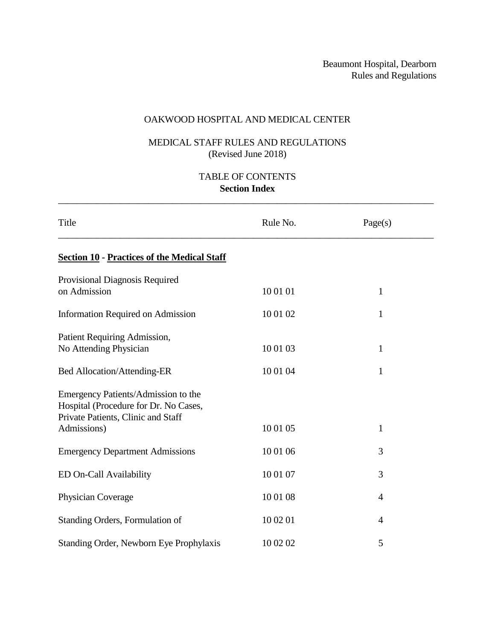# OAKWOOD HOSPITAL AND MEDICAL CENTER

# MEDICAL STAFF RULES AND REGULATIONS (Revised June 2018)

# TABLE OF CONTENTS **Section Index**

\_\_\_\_\_\_\_\_\_\_\_\_\_\_\_\_\_\_\_\_\_\_\_\_\_\_\_\_\_\_\_\_\_\_\_\_\_\_\_\_\_\_\_\_\_\_\_\_\_\_\_\_\_\_\_\_\_\_\_\_\_\_\_\_\_\_\_\_\_\_\_\_\_\_\_\_\_\_\_

| Title                                                                                                              | Rule No. | Page(s)      |
|--------------------------------------------------------------------------------------------------------------------|----------|--------------|
| <b>Section 10 - Practices of the Medical Staff</b>                                                                 |          |              |
| Provisional Diagnosis Required<br>on Admission                                                                     | 10 01 01 | $\mathbf{1}$ |
| <b>Information Required on Admission</b>                                                                           | 10 01 02 | $\mathbf{1}$ |
| Patient Requiring Admission,<br>No Attending Physician                                                             | 10 01 03 | $\mathbf{1}$ |
| Bed Allocation/Attending-ER                                                                                        | 10 01 04 | $\mathbf{1}$ |
| Emergency Patients/Admission to the<br>Hospital (Procedure for Dr. No Cases,<br>Private Patients, Clinic and Staff |          |              |
| Admissions)                                                                                                        | 10 01 05 | $\mathbf{1}$ |
| <b>Emergency Department Admissions</b>                                                                             | 10 01 06 | 3            |
| ED On-Call Availability                                                                                            | 10 01 07 | 3            |
| Physician Coverage                                                                                                 | 10 01 08 | 4            |
| Standing Orders, Formulation of                                                                                    | 10 02 01 | 4            |
| Standing Order, Newborn Eye Prophylaxis                                                                            | 10 02 02 | 5            |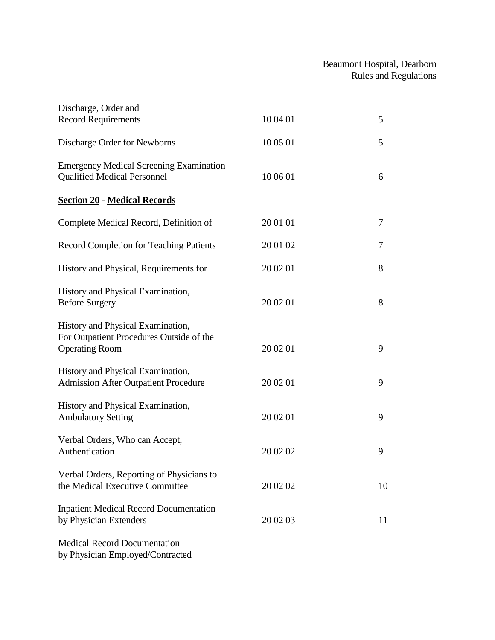| Discharge, Order and                                                                                   |          |    |
|--------------------------------------------------------------------------------------------------------|----------|----|
| <b>Record Requirements</b>                                                                             | 10 04 01 | 5  |
| Discharge Order for Newborns                                                                           | 10 05 01 | 5  |
| Emergency Medical Screening Examination -<br><b>Qualified Medical Personnel</b>                        | 10 06 01 | 6  |
| <b>Section 20 - Medical Records</b>                                                                    |          |    |
| Complete Medical Record, Definition of                                                                 | 20 01 01 | 7  |
| <b>Record Completion for Teaching Patients</b>                                                         | 20 01 02 | 7  |
| History and Physical, Requirements for                                                                 | 20 02 01 | 8  |
| History and Physical Examination,<br><b>Before Surgery</b>                                             | 20 02 01 | 8  |
| History and Physical Examination,<br>For Outpatient Procedures Outside of the<br><b>Operating Room</b> | 20 02 01 | 9  |
| History and Physical Examination,<br><b>Admission After Outpatient Procedure</b>                       | 20 02 01 | 9  |
| History and Physical Examination,<br><b>Ambulatory Setting</b>                                         | 20 02 01 | 9  |
| Verbal Orders, Who can Accept,<br>Authentication                                                       | 20 02 02 | 9  |
| Verbal Orders, Reporting of Physicians to<br>the Medical Executive Committee                           | 20 02 02 | 10 |
| <b>Inpatient Medical Record Documentation</b><br>by Physician Extenders                                | 20 02 03 | 11 |
| <b>Medical Record Documentation</b>                                                                    |          |    |

by Physician Employed/Contracted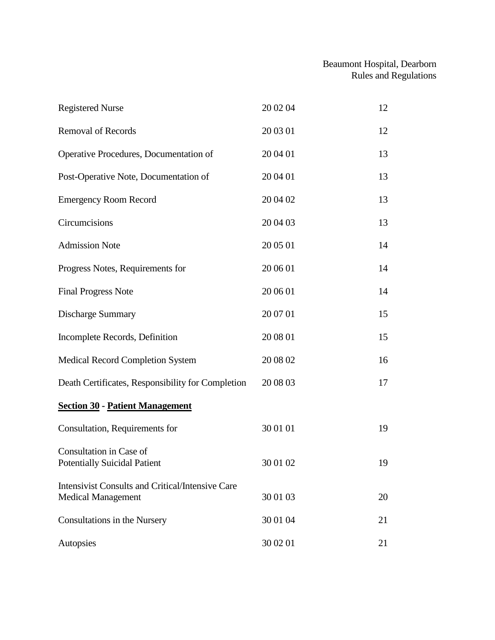| <b>Registered Nurse</b>                                                       | 20 02 04 | 12 |
|-------------------------------------------------------------------------------|----------|----|
| <b>Removal of Records</b>                                                     | 20 03 01 | 12 |
| Operative Procedures, Documentation of                                        | 20 04 01 | 13 |
| Post-Operative Note, Documentation of                                         | 20 04 01 | 13 |
| <b>Emergency Room Record</b>                                                  | 20 04 02 | 13 |
| Circumcisions                                                                 | 20 04 03 | 13 |
| <b>Admission Note</b>                                                         | 20 05 01 | 14 |
| Progress Notes, Requirements for                                              | 20 06 01 | 14 |
| <b>Final Progress Note</b>                                                    | 20 06 01 | 14 |
| <b>Discharge Summary</b>                                                      | 20 07 01 | 15 |
| Incomplete Records, Definition                                                | 20 08 01 | 15 |
| Medical Record Completion System                                              | 20 08 02 | 16 |
| Death Certificates, Responsibility for Completion                             | 20 08 03 | 17 |
| <b>Section 30 - Patient Management</b>                                        |          |    |
| Consultation, Requirements for                                                | 30 01 01 | 19 |
| Consultation in Case of<br><b>Potentially Suicidal Patient</b>                | 30 01 02 | 19 |
| Intensivist Consults and Critical/Intensive Care<br><b>Medical Management</b> | 30 01 03 | 20 |
| Consultations in the Nursery                                                  | 30 01 04 | 21 |
| Autopsies                                                                     | 30 02 01 | 21 |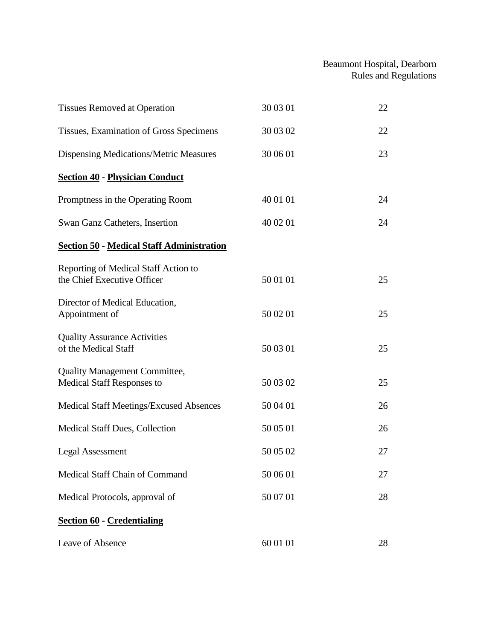| <b>Tissues Removed at Operation</b>                                 | 30 03 01 | 22 |
|---------------------------------------------------------------------|----------|----|
| Tissues, Examination of Gross Specimens                             | 30 03 02 | 22 |
| Dispensing Medications/Metric Measures                              | 30 06 01 | 23 |
| <b>Section 40 - Physician Conduct</b>                               |          |    |
| Promptness in the Operating Room                                    | 40 01 01 | 24 |
| Swan Ganz Catheters, Insertion                                      | 40 02 01 | 24 |
| <b>Section 50 - Medical Staff Administration</b>                    |          |    |
| Reporting of Medical Staff Action to<br>the Chief Executive Officer | 50 01 01 | 25 |
| Director of Medical Education,<br>Appointment of                    | 50 02 01 | 25 |
| <b>Quality Assurance Activities</b><br>of the Medical Staff         | 50 03 01 | 25 |
| <b>Quality Management Committee,</b><br>Medical Staff Responses to  | 50 03 02 | 25 |
| Medical Staff Meetings/Excused Absences                             | 50 04 01 | 26 |
| Medical Staff Dues, Collection                                      | 50 05 01 | 26 |
| <b>Legal Assessment</b>                                             | 50 05 02 | 27 |
| Medical Staff Chain of Command                                      | 50 06 01 | 27 |
| Medical Protocols, approval of                                      | 50 07 01 | 28 |
| <b>Section 60 - Credentialing</b>                                   |          |    |
| Leave of Absence                                                    | 60 01 01 | 28 |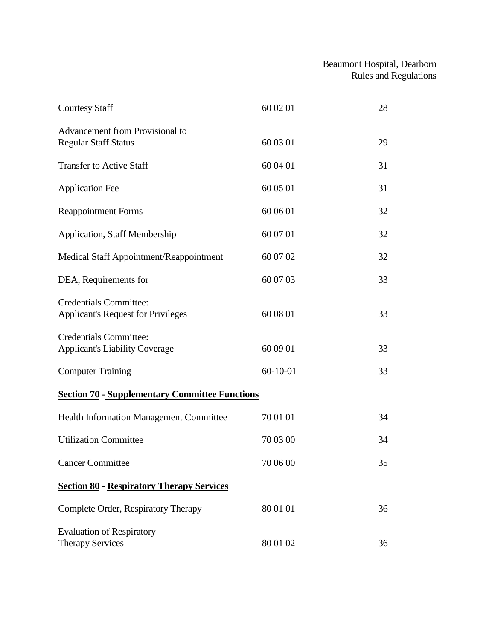| <b>Courtesy Staff</b>                                                      | 60 02 01   | 28 |
|----------------------------------------------------------------------------|------------|----|
| Advancement from Provisional to<br><b>Regular Staff Status</b>             | 60 03 01   | 29 |
| <b>Transfer to Active Staff</b>                                            | 60 04 01   | 31 |
| <b>Application Fee</b>                                                     | 60 05 01   | 31 |
| <b>Reappointment Forms</b>                                                 | 60 06 01   | 32 |
| <b>Application, Staff Membership</b>                                       | 60 07 01   | 32 |
| Medical Staff Appointment/Reappointment                                    | 60 07 02   | 32 |
| DEA, Requirements for                                                      | 60 07 03   | 33 |
| <b>Credentials Committee:</b><br><b>Applicant's Request for Privileges</b> | 60 08 01   | 33 |
| <b>Credentials Committee:</b><br><b>Applicant's Liability Coverage</b>     | 60 09 01   | 33 |
| <b>Computer Training</b>                                                   | $60-10-01$ | 33 |
| <b>Section 70 - Supplementary Committee Functions</b>                      |            |    |
| <b>Health Information Management Committee</b>                             | 70 01 01   | 34 |
| <b>Utilization Committee</b>                                               | 70 03 00   | 34 |
| <b>Cancer Committee</b>                                                    | 70 06 00   | 35 |
| <b>Section 80 - Respiratory Therapy Services</b>                           |            |    |
| Complete Order, Respiratory Therapy                                        | 80 01 01   | 36 |
| <b>Evaluation of Respiratory</b><br><b>Therapy Services</b>                | 80 01 02   | 36 |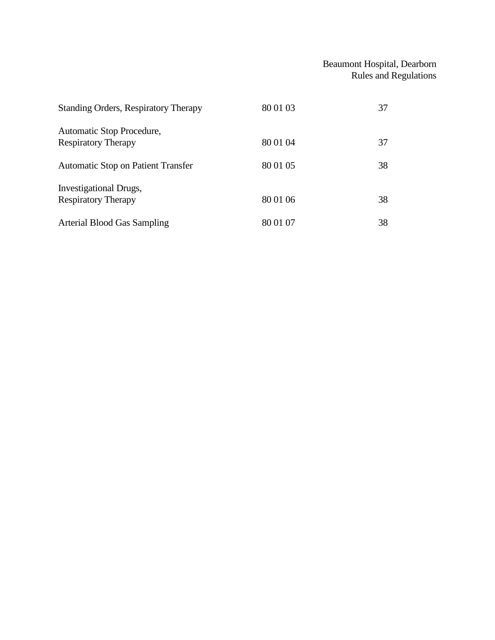| <b>Standing Orders, Respiratory Therapy</b>             | 80 01 03 | 37 |
|---------------------------------------------------------|----------|----|
| Automatic Stop Procedure,<br><b>Respiratory Therapy</b> | 80 01 04 | 37 |
| <b>Automatic Stop on Patient Transfer</b>               | 80 01 05 | 38 |
| Investigational Drugs,<br><b>Respiratory Therapy</b>    | 80 01 06 | 38 |
| Arterial Blood Gas Sampling                             | 80 01 07 | 38 |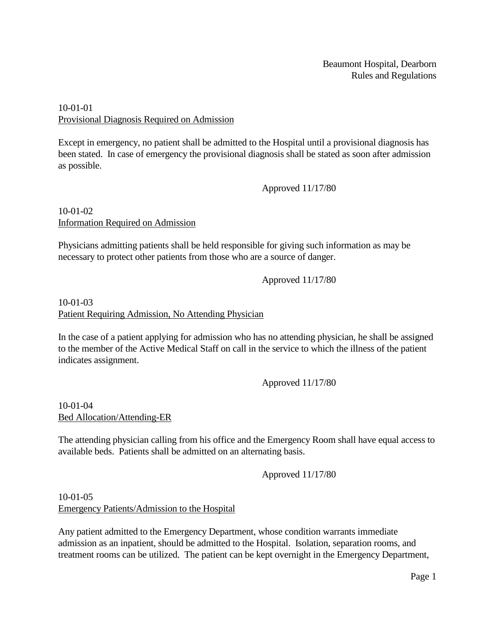### 10-01-01 Provisional Diagnosis Required on Admission

Except in emergency, no patient shall be admitted to the Hospital until a provisional diagnosis has been stated. In case of emergency the provisional diagnosis shall be stated as soon after admission as possible.

Approved 11/17/80

#### 10-01-02 Information Required on Admission

Physicians admitting patients shall be held responsible for giving such information as may be necessary to protect other patients from those who are a source of danger.

Approved 11/17/80

# 10-01-03 Patient Requiring Admission, No Attending Physician

In the case of a patient applying for admission who has no attending physician, he shall be assigned to the member of the Active Medical Staff on call in the service to which the illness of the patient indicates assignment.

Approved 11/17/80

### 10-01-04 Bed Allocation/Attending-ER

The attending physician calling from his office and the Emergency Room shall have equal access to available beds. Patients shall be admitted on an alternating basis.

Approved 11/17/80

10-01-05 Emergency Patients/Admission to the Hospital

Any patient admitted to the Emergency Department, whose condition warrants immediate admission as an inpatient, should be admitted to the Hospital. Isolation, separation rooms, and treatment rooms can be utilized. The patient can be kept overnight in the Emergency Department,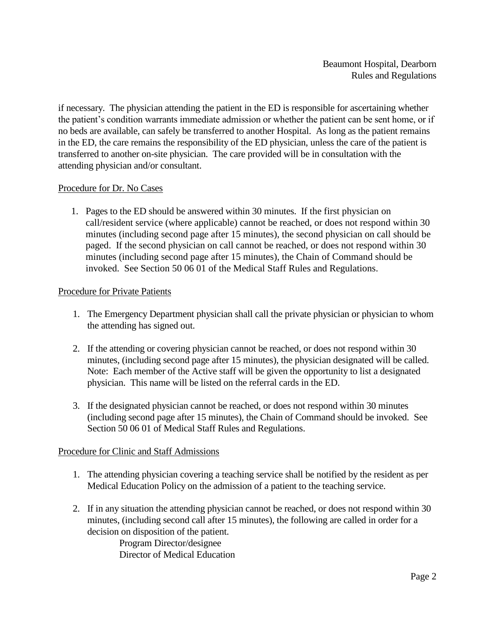if necessary. The physician attending the patient in the ED is responsible for ascertaining whether the patient's condition warrants immediate admission or whether the patient can be sent home, or if no beds are available, can safely be transferred to another Hospital. As long as the patient remains in the ED, the care remains the responsibility of the ED physician, unless the care of the patient is transferred to another on-site physician. The care provided will be in consultation with the attending physician and/or consultant.

#### Procedure for Dr. No Cases

1. Pages to the ED should be answered within 30 minutes. If the first physician on call/resident service (where applicable) cannot be reached, or does not respond within 30 minutes (including second page after 15 minutes), the second physician on call should be paged. If the second physician on call cannot be reached, or does not respond within 30 minutes (including second page after 15 minutes), the Chain of Command should be invoked. See Section 50 06 01 of the Medical Staff Rules and Regulations.

#### Procedure for Private Patients

- 1. The Emergency Department physician shall call the private physician or physician to whom the attending has signed out.
- 2. If the attending or covering physician cannot be reached, or does not respond within 30 minutes, (including second page after 15 minutes), the physician designated will be called. Note: Each member of the Active staff will be given the opportunity to list a designated physician. This name will be listed on the referral cards in the ED.
- 3. If the designated physician cannot be reached, or does not respond within 30 minutes (including second page after 15 minutes), the Chain of Command should be invoked. See Section 50 06 01 of Medical Staff Rules and Regulations.

#### Procedure for Clinic and Staff Admissions

- 1. The attending physician covering a teaching service shall be notified by the resident as per Medical Education Policy on the admission of a patient to the teaching service.
- 2. If in any situation the attending physician cannot be reached, or does not respond within 30 minutes, (including second call after 15 minutes), the following are called in order for a decision on disposition of the patient. Program Director/designee Director of Medical Education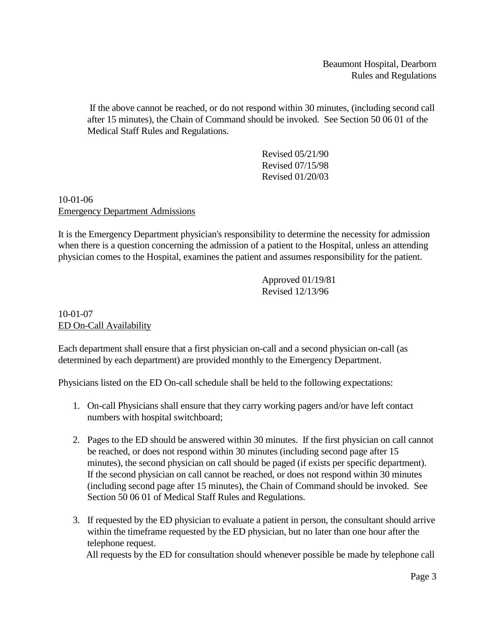If the above cannot be reached, or do not respond within 30 minutes, (including second call after 15 minutes), the Chain of Command should be invoked. See Section 50 06 01 of the Medical Staff Rules and Regulations.

> Revised 05/21/90 Revised 07/15/98 Revised 01/20/03

### 10-01-06 Emergency Department Admissions

It is the Emergency Department physician's responsibility to determine the necessity for admission when there is a question concerning the admission of a patient to the Hospital, unless an attending physician comes to the Hospital, examines the patient and assumes responsibility for the patient.

> Approved 01/19/81 Revised 12/13/96

10-01-07 ED On-Call Availability

Each department shall ensure that a first physician on-call and a second physician on-call (as determined by each department) are provided monthly to the Emergency Department.

Physicians listed on the ED On-call schedule shall be held to the following expectations:

- 1. On-call Physicians shall ensure that they carry working pagers and/or have left contact numbers with hospital switchboard;
- 2. Pages to the ED should be answered within 30 minutes. If the first physician on call cannot be reached, or does not respond within 30 minutes (including second page after 15 minutes), the second physician on call should be paged (if exists per specific department). If the second physician on call cannot be reached, or does not respond within 30 minutes (including second page after 15 minutes), the Chain of Command should be invoked. See Section 50 06 01 of Medical Staff Rules and Regulations.
- 3. If requested by the ED physician to evaluate a patient in person, the consultant should arrive within the timeframe requested by the ED physician, but no later than one hour after the telephone request. All requests by the ED for consultation should whenever possible be made by telephone call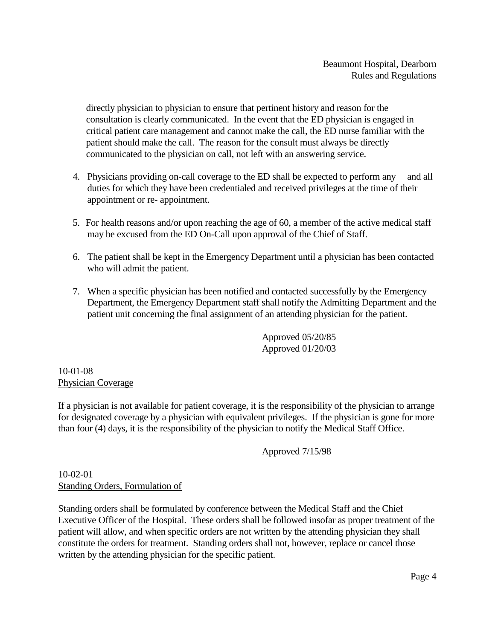directly physician to physician to ensure that pertinent history and reason for the consultation is clearly communicated. In the event that the ED physician is engaged in critical patient care management and cannot make the call, the ED nurse familiar with the patient should make the call. The reason for the consult must always be directly communicated to the physician on call, not left with an answering service.

- 4. Physicians providing on-call coverage to the ED shall be expected to perform any and all duties for which they have been credentialed and received privileges at the time of their appointment or re- appointment.
- 5. For health reasons and/or upon reaching the age of 60, a member of the active medical staff may be excused from the ED On-Call upon approval of the Chief of Staff.
- 6. The patient shall be kept in the Emergency Department until a physician has been contacted who will admit the patient.
- 7. When a specific physician has been notified and contacted successfully by the Emergency Department, the Emergency Department staff shall notify the Admitting Department and the patient unit concerning the final assignment of an attending physician for the patient.

Approved 05/20/85 Approved 01/20/03

10-01-08 Physician Coverage

If a physician is not available for patient coverage, it is the responsibility of the physician to arrange for designated coverage by a physician with equivalent privileges. If the physician is gone for more than four (4) days, it is the responsibility of the physician to notify the Medical Staff Office.

Approved 7/15/98

10-02-01 Standing Orders, Formulation of

Standing orders shall be formulated by conference between the Medical Staff and the Chief Executive Officer of the Hospital. These orders shall be followed insofar as proper treatment of the patient will allow, and when specific orders are not written by the attending physician they shall constitute the orders for treatment. Standing orders shall not, however, replace or cancel those written by the attending physician for the specific patient.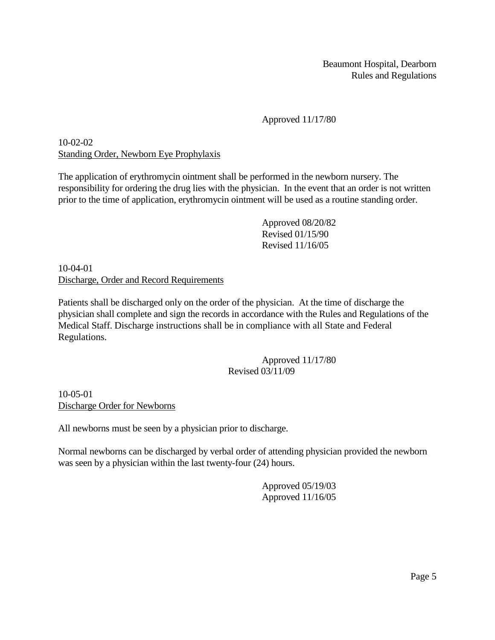# Approved 11/17/80

# 10-02-02 Standing Order, Newborn Eye Prophylaxis

The application of erythromycin ointment shall be performed in the newborn nursery. The responsibility for ordering the drug lies with the physician. In the event that an order is not written prior to the time of application, erythromycin ointment will be used as a routine standing order.

> Approved 08/20/82 Revised 01/15/90 Revised 11/16/05

10-04-01 Discharge, Order and Record Requirements

Patients shall be discharged only on the order of the physician. At the time of discharge the physician shall complete and sign the records in accordance with the Rules and Regulations of the Medical Staff. Discharge instructions shall be in compliance with all State and Federal Regulations.

### Approved 11/17/80 Revised 03/11/09

10-05-01 Discharge Order for Newborns

All newborns must be seen by a physician prior to discharge.

Normal newborns can be discharged by verbal order of attending physician provided the newborn was seen by a physician within the last twenty-four (24) hours.

> Approved 05/19/03 Approved 11/16/05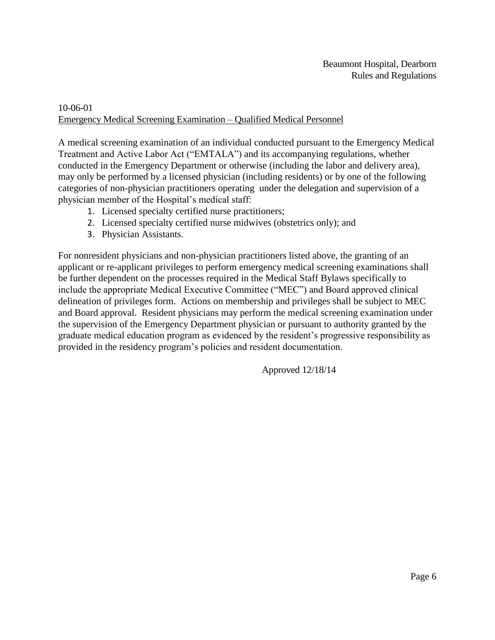# 10-06-01 Emergency Medical Screening Examination – Qualified Medical Personnel

A medical screening examination of an individual conducted pursuant to the Emergency Medical Treatment and Active Labor Act ("EMTALA") and its accompanying regulations, whether conducted in the Emergency Department or otherwise (including the labor and delivery area), may only be performed by a licensed physician (including residents) or by one of the following categories of non-physician practitioners operating under the delegation and supervision of a physician member of the Hospital's medical staff:

- 1. Licensed specialty certified nurse practitioners;
- 2. Licensed specialty certified nurse midwives (obstetrics only); and
- 3. Physician Assistants.

For nonresident physicians and non-physician practitioners listed above, the granting of an applicant or re-applicant privileges to perform emergency medical screening examinations shall be further dependent on the processes required in the Medical Staff Bylaws specifically to include the appropriate Medical Executive Committee ("MEC") and Board approved clinical delineation of privileges form. Actions on membership and privileges shall be subject to MEC and Board approval. Resident physicians may perform the medical screening examination under the supervision of the Emergency Department physician or pursuant to authority granted by the graduate medical education program as evidenced by the resident's progressive responsibility as provided in the residency program's policies and resident documentation.

Approved 12/18/14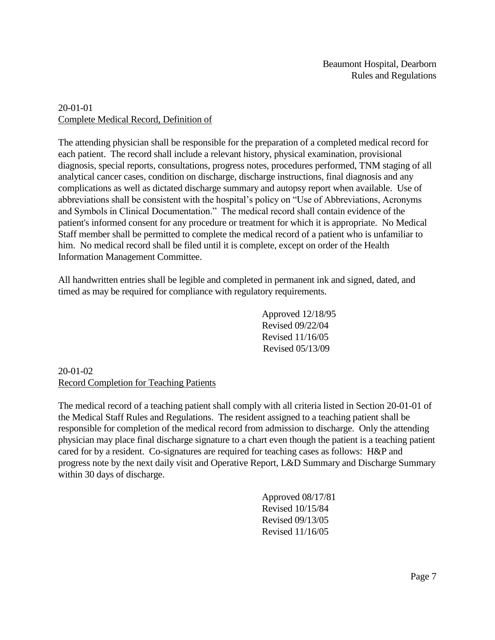## 20-01-01 Complete Medical Record, Definition of

The attending physician shall be responsible for the preparation of a completed medical record for each patient. The record shall include a relevant history, physical examination, provisional diagnosis, special reports, consultations, progress notes, procedures performed, TNM staging of all analytical cancer cases, condition on discharge, discharge instructions, final diagnosis and any complications as well as dictated discharge summary and autopsy report when available. Use of abbreviations shall be consistent with the hospital's policy on "Use of Abbreviations, Acronyms and Symbols in Clinical Documentation." The medical record shall contain evidence of the patient's informed consent for any procedure or treatment for which it is appropriate. No Medical Staff member shall be permitted to complete the medical record of a patient who is unfamiliar to him. No medical record shall be filed until it is complete, except on order of the Health Information Management Committee.

All handwritten entries shall be legible and completed in permanent ink and signed, dated, and timed as may be required for compliance with regulatory requirements.

> Approved 12/18/95 Revised 09/22/04 Revised 11/16/05 Revised 05/13/09

20-01-02 Record Completion for Teaching Patients

The medical record of a teaching patient shall comply with all criteria listed in Section 20-01-01 of the Medical Staff Rules and Regulations. The resident assigned to a teaching patient shall be responsible for completion of the medical record from admission to discharge. Only the attending physician may place final discharge signature to a chart even though the patient is a teaching patient cared for by a resident. Co-signatures are required for teaching cases as follows: H&P and progress note by the next daily visit and Operative Report, L&D Summary and Discharge Summary within 30 days of discharge.

> Approved 08/17/81 Revised 10/15/84 Revised 09/13/05 Revised 11/16/05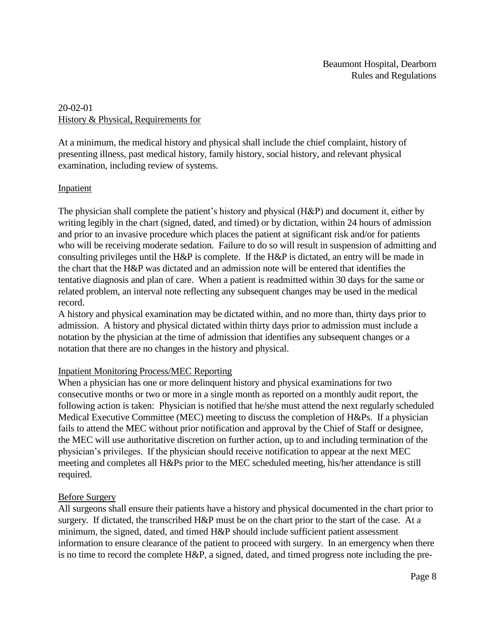# 20-02-01 History & Physical, Requirements for

At a minimum, the medical history and physical shall include the chief complaint, history of presenting illness, past medical history, family history, social history, and relevant physical examination, including review of systems.

### Inpatient

The physician shall complete the patient's history and physical (H&P) and document it, either by writing legibly in the chart (signed, dated, and timed) or by dictation, within 24 hours of admission and prior to an invasive procedure which places the patient at significant risk and/or for patients who will be receiving moderate sedation. Failure to do so will result in suspension of admitting and consulting privileges until the H&P is complete. If the H&P is dictated, an entry will be made in the chart that the H&P was dictated and an admission note will be entered that identifies the tentative diagnosis and plan of care. When a patient is readmitted within 30 days for the same or related problem, an interval note reflecting any subsequent changes may be used in the medical record.

A history and physical examination may be dictated within, and no more than, thirty days prior to admission. A history and physical dictated within thirty days prior to admission must include a notation by the physician at the time of admission that identifies any subsequent changes or a notation that there are no changes in the history and physical.

### Inpatient Monitoring Process/MEC Reporting

When a physician has one or more delinquent history and physical examinations for two consecutive months or two or more in a single month as reported on a monthly audit report, the following action is taken: Physician is notified that he/she must attend the next regularly scheduled Medical Executive Committee (MEC) meeting to discuss the completion of H&Ps. If a physician fails to attend the MEC without prior notification and approval by the Chief of Staff or designee, the MEC will use authoritative discretion on further action, up to and including termination of the physician's privileges. If the physician should receive notification to appear at the next MEC meeting and completes all H&Ps prior to the MEC scheduled meeting, his/her attendance is still required.

### Before Surgery

All surgeons shall ensure their patients have a history and physical documented in the chart prior to surgery. If dictated, the transcribed H&P must be on the chart prior to the start of the case. At a minimum, the signed, dated, and timed H&P should include sufficient patient assessment information to ensure clearance of the patient to proceed with surgery. In an emergency when there is no time to record the complete H&P, a signed, dated, and timed progress note including the pre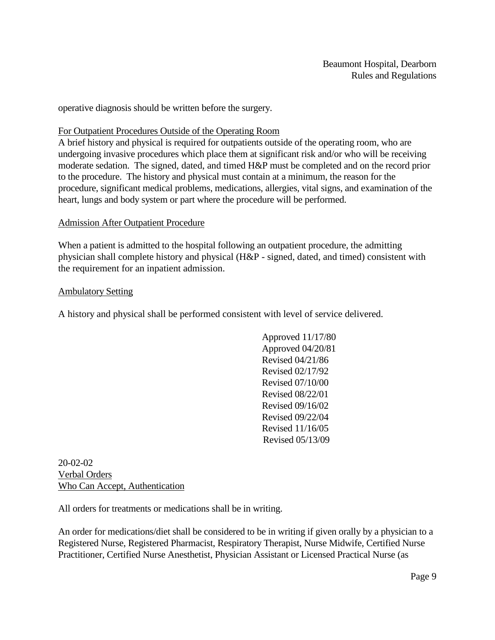operative diagnosis should be written before the surgery.

#### For Outpatient Procedures Outside of the Operating Room

A brief history and physical is required for outpatients outside of the operating room, who are undergoing invasive procedures which place them at significant risk and/or who will be receiving moderate sedation. The signed, dated, and timed H&P must be completed and on the record prior to the procedure. The history and physical must contain at a minimum, the reason for the procedure, significant medical problems, medications, allergies, vital signs, and examination of the heart, lungs and body system or part where the procedure will be performed.

#### Admission After Outpatient Procedure

When a patient is admitted to the hospital following an outpatient procedure, the admitting physician shall complete history and physical (H&P - signed, dated, and timed) consistent with the requirement for an inpatient admission.

#### Ambulatory Setting

A history and physical shall be performed consistent with level of service delivered.

Approved 11/17/80 Approved 04/20/81 Revised 04/21/86 Revised 02/17/92 Revised 07/10/00 Revised 08/22/01 Revised 09/16/02 Revised 09/22/04 Revised 11/16/05 Revised 05/13/09

20-02-02 Verbal Orders Who Can Accept, Authentication

All orders for treatments or medications shall be in writing.

An order for medications/diet shall be considered to be in writing if given orally by a physician to a Registered Nurse, Registered Pharmacist, Respiratory Therapist, Nurse Midwife, Certified Nurse Practitioner, Certified Nurse Anesthetist, Physician Assistant or Licensed Practical Nurse (as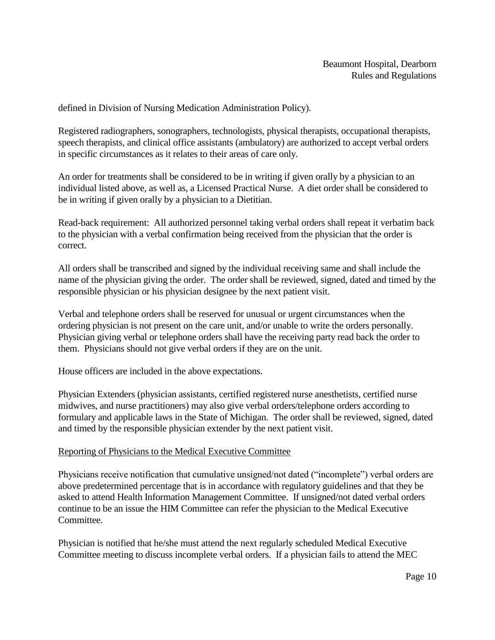defined in Division of Nursing Medication Administration Policy).

Registered radiographers, sonographers, technologists, physical therapists, occupational therapists, speech therapists, and clinical office assistants (ambulatory) are authorized to accept verbal orders in specific circumstances as it relates to their areas of care only.

An order for treatments shall be considered to be in writing if given orally by a physician to an individual listed above, as well as, a Licensed Practical Nurse. A diet order shall be considered to be in writing if given orally by a physician to a Dietitian.

Read-back requirement: All authorized personnel taking verbal orders shall repeat it verbatim back to the physician with a verbal confirmation being received from the physician that the order is correct.

All orders shall be transcribed and signed by the individual receiving same and shall include the name of the physician giving the order. The order shall be reviewed, signed, dated and timed by the responsible physician or his physician designee by the next patient visit.

Verbal and telephone orders shall be reserved for unusual or urgent circumstances when the ordering physician is not present on the care unit, and/or unable to write the orders personally. Physician giving verbal or telephone orders shall have the receiving party read back the order to them. Physicians should not give verbal orders if they are on the unit.

House officers are included in the above expectations.

Physician Extenders (physician assistants, certified registered nurse anesthetists, certified nurse midwives, and nurse practitioners) may also give verbal orders/telephone orders according to formulary and applicable laws in the State of Michigan. The order shall be reviewed, signed, dated and timed by the responsible physician extender by the next patient visit.

#### Reporting of Physicians to the Medical Executive Committee

Physicians receive notification that cumulative unsigned/not dated ("incomplete") verbal orders are above predetermined percentage that is in accordance with regulatory guidelines and that they be asked to attend Health Information Management Committee. If unsigned/not dated verbal orders continue to be an issue the HIM Committee can refer the physician to the Medical Executive Committee.

Physician is notified that he/she must attend the next regularly scheduled Medical Executive Committee meeting to discuss incomplete verbal orders. If a physician fails to attend the MEC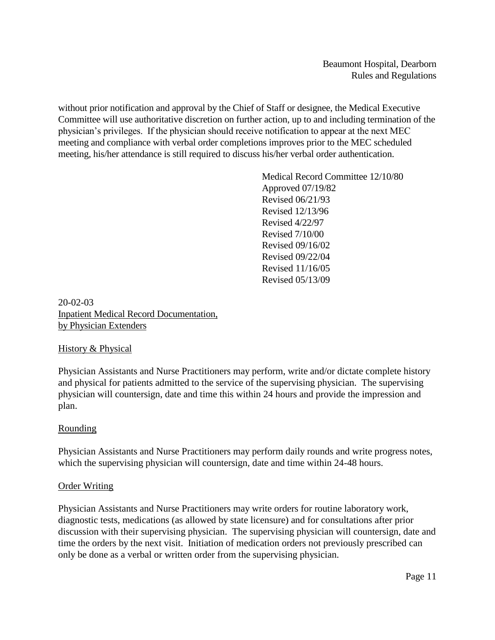without prior notification and approval by the Chief of Staff or designee, the Medical Executive Committee will use authoritative discretion on further action, up to and including termination of the physician's privileges. If the physician should receive notification to appear at the next MEC meeting and compliance with verbal order completions improves prior to the MEC scheduled meeting, his/her attendance is still required to discuss his/her verbal order authentication.

> Medical Record Committee 12/10/80 Approved 07/19/82 Revised 06/21/93 Revised 12/13/96 Revised 4/22/97 Revised 7/10/00 Revised 09/16/02 Revised 09/22/04 Revised 11/16/05 Revised 05/13/09

20-02-03 Inpatient Medical Record Documentation, by Physician Extenders

#### History & Physical

Physician Assistants and Nurse Practitioners may perform, write and/or dictate complete history and physical for patients admitted to the service of the supervising physician. The supervising physician will countersign, date and time this within 24 hours and provide the impression and plan.

#### Rounding

Physician Assistants and Nurse Practitioners may perform daily rounds and write progress notes, which the supervising physician will countersign, date and time within 24-48 hours.

#### Order Writing

Physician Assistants and Nurse Practitioners may write orders for routine laboratory work, diagnostic tests, medications (as allowed by state licensure) and for consultations after prior discussion with their supervising physician. The supervising physician will countersign, date and time the orders by the next visit. Initiation of medication orders not previously prescribed can only be done as a verbal or written order from the supervising physician.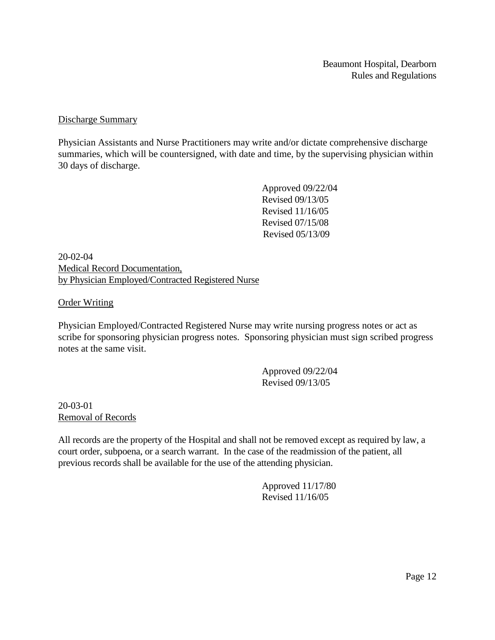#### Discharge Summary

Physician Assistants and Nurse Practitioners may write and/or dictate comprehensive discharge summaries, which will be countersigned, with date and time, by the supervising physician within 30 days of discharge.

> Approved 09/22/04 Revised 09/13/05 Revised 11/16/05 Revised 07/15/08 Revised 05/13/09

20-02-04 Medical Record Documentation, by Physician Employed/Contracted Registered Nurse

#### Order Writing

Physician Employed/Contracted Registered Nurse may write nursing progress notes or act as scribe for sponsoring physician progress notes. Sponsoring physician must sign scribed progress notes at the same visit.

> Approved 09/22/04 Revised 09/13/05

20-03-01 Removal of Records

All records are the property of the Hospital and shall not be removed except as required by law, a court order, subpoena, or a search warrant. In the case of the readmission of the patient, all previous records shall be available for the use of the attending physician.

> Approved 11/17/80 Revised 11/16/05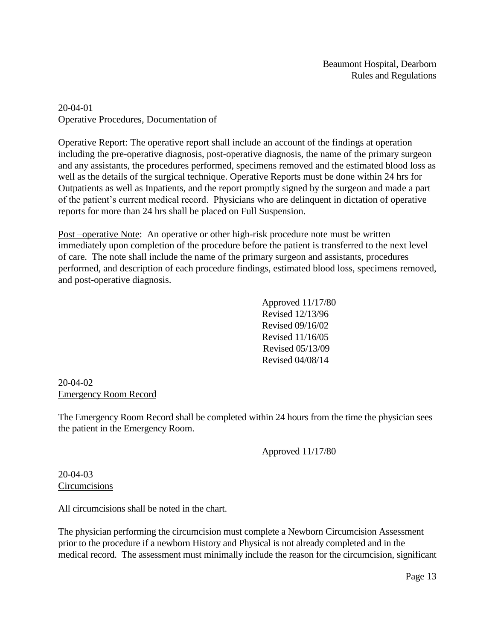### 20-04-01 Operative Procedures, Documentation of

Operative Report: The operative report shall include an account of the findings at operation including the pre-operative diagnosis, post-operative diagnosis, the name of the primary surgeon and any assistants, the procedures performed, specimens removed and the estimated blood loss as well as the details of the surgical technique. Operative Reports must be done within 24 hrs for Outpatients as well as Inpatients, and the report promptly signed by the surgeon and made a part of the patient's current medical record. Physicians who are delinquent in dictation of operative reports for more than 24 hrs shall be placed on Full Suspension.

Post –operative Note: An operative or other high-risk procedure note must be written immediately upon completion of the procedure before the patient is transferred to the next level of care. The note shall include the name of the primary surgeon and assistants, procedures performed, and description of each procedure findings, estimated blood loss, specimens removed, and post-operative diagnosis.

> Approved 11/17/80 Revised 12/13/96 Revised 09/16/02 Revised 11/16/05 Revised 05/13/09 Revised 04/08/14

#### 20-04-02 Emergency Room Record

The Emergency Room Record shall be completed within 24 hours from the time the physician sees the patient in the Emergency Room.

Approved 11/17/80

### 20-04-03 **Circumcisions**

All circumcisions shall be noted in the chart.

The physician performing the circumcision must complete a Newborn Circumcision Assessment prior to the procedure if a newborn History and Physical is not already completed and in the medical record. The assessment must minimally include the reason for the circumcision, significant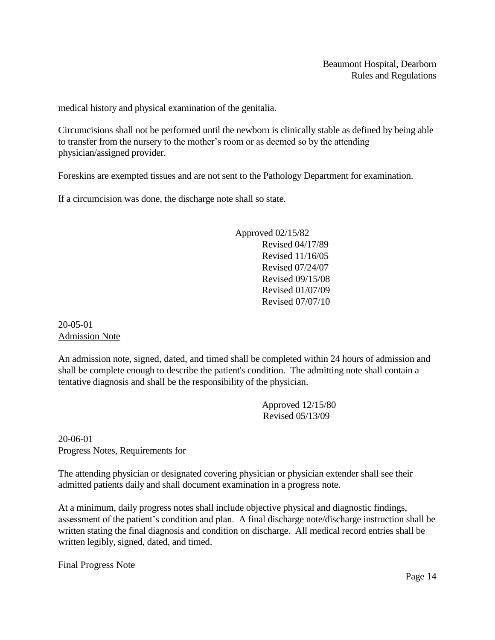medical history and physical examination of the genitalia.

Circumcisions shall not be performed until the newborn is clinically stable as defined by being able to transfer from the nursery to the mother's room or as deemed so by the attending physician/assigned provider.

Foreskins are exempted tissues and are not sent to the Pathology Department for examination.

If a circumcision was done, the discharge note shall so state.

 Approved 02/15/82 Revised 04/17/89 Revised 11/16/05 Revised 07/24/07 Revised 09/15/08 Revised 01/07/09 Revised 07/07/10

20-05-01 Admission Note

An admission note, signed, dated, and timed shall be completed within 24 hours of admission and shall be complete enough to describe the patient's condition. The admitting note shall contain a tentative diagnosis and shall be the responsibility of the physician.

> Approved 12/15/80 Revised 05/13/09

20-06-01 Progress Notes, Requirements for

The attending physician or designated covering physician or physician extender shall see their admitted patients daily and shall document examination in a progress note.

At a minimum, daily progress notes shall include objective physical and diagnostic findings, assessment of the patient's condition and plan. A final discharge note/discharge instruction shall be written stating the final diagnosis and condition on discharge. All medical record entries shall be written legibly, signed, dated, and timed.

Final Progress Note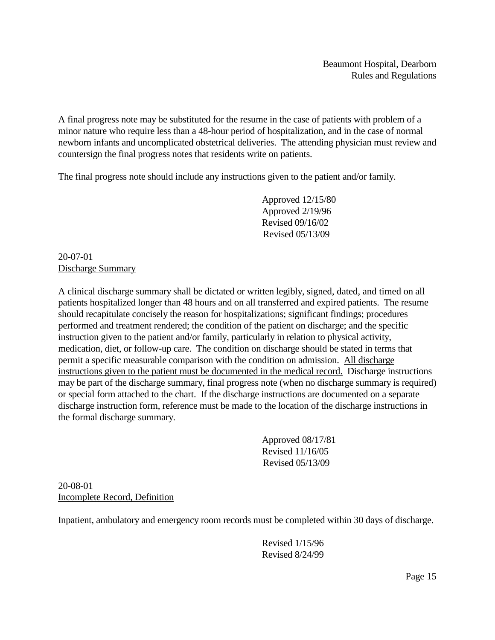A final progress note may be substituted for the resume in the case of patients with problem of a minor nature who require less than a 48-hour period of hospitalization, and in the case of normal newborn infants and uncomplicated obstetrical deliveries. The attending physician must review and countersign the final progress notes that residents write on patients.

The final progress note should include any instructions given to the patient and/or family.

Approved 12/15/80 Approved 2/19/96 Revised 09/16/02 Revised 05/13/09

20-07-01 Discharge Summary

A clinical discharge summary shall be dictated or written legibly, signed, dated, and timed on all patients hospitalized longer than 48 hours and on all transferred and expired patients. The resume should recapitulate concisely the reason for hospitalizations; significant findings; procedures performed and treatment rendered; the condition of the patient on discharge; and the specific instruction given to the patient and/or family, particularly in relation to physical activity, medication, diet, or follow-up care. The condition on discharge should be stated in terms that permit a specific measurable comparison with the condition on admission. All discharge instructions given to the patient must be documented in the medical record. Discharge instructions may be part of the discharge summary, final progress note (when no discharge summary is required) or special form attached to the chart. If the discharge instructions are documented on a separate discharge instruction form, reference must be made to the location of the discharge instructions in the formal discharge summary.

> Approved 08/17/81 Revised 11/16/05 Revised 05/13/09

20-08-01 Incomplete Record, Definition

Inpatient, ambulatory and emergency room records must be completed within 30 days of discharge.

Revised 1/15/96 Revised 8/24/99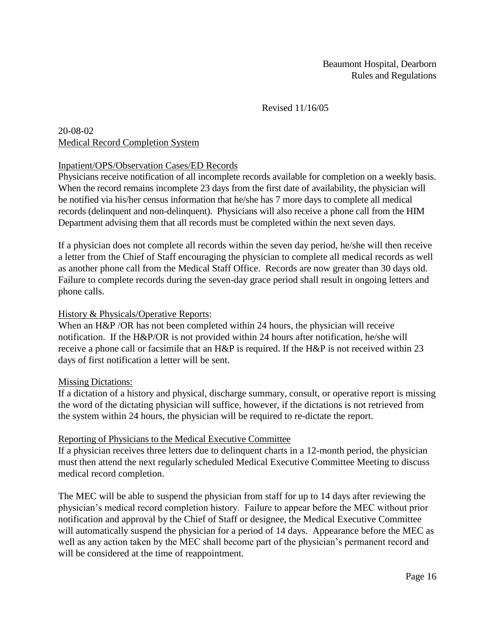### Revised 11/16/05

### 20-08-02 Medical Record Completion System

### Inpatient/OPS/Observation Cases/ED Records

Physicians receive notification of all incomplete records available for completion on a weekly basis. When the record remains incomplete 23 days from the first date of availability, the physician will be notified via his/her census information that he/she has 7 more days to complete all medical records (delinquent and non-delinquent). Physicians will also receive a phone call from the HIM Department advising them that all records must be completed within the next seven days.

If a physician does not complete all records within the seven day period, he/she will then receive a letter from the Chief of Staff encouraging the physician to complete all medical records as well as another phone call from the Medical Staff Office. Records are now greater than 30 days old. Failure to complete records during the seven-day grace period shall result in ongoing letters and phone calls.

### History & Physicals/Operative Reports:

When an H&P /OR has not been completed within 24 hours, the physician will receive notification. If the H&P/OR is not provided within 24 hours after notification, he/she will receive a phone call or facsimile that an H&P is required. If the H&P is not received within 23 days of first notification a letter will be sent.

#### Missing Dictations:

If a dictation of a history and physical, discharge summary, consult, or operative report is missing the word of the dictating physician will suffice, however, if the dictations is not retrieved from the system within 24 hours, the physician will be required to re-dictate the report.

#### Reporting of Physicians to the Medical Executive Committee

If a physician receives three letters due to delinquent charts in a 12-month period, the physician must then attend the next regularly scheduled Medical Executive Committee Meeting to discuss medical record completion.

The MEC will be able to suspend the physician from staff for up to 14 days after reviewing the physician's medical record completion history. Failure to appear before the MEC without prior notification and approval by the Chief of Staff or designee, the Medical Executive Committee will automatically suspend the physician for a period of 14 days. Appearance before the MEC as well as any action taken by the MEC shall become part of the physician's permanent record and will be considered at the time of reappointment.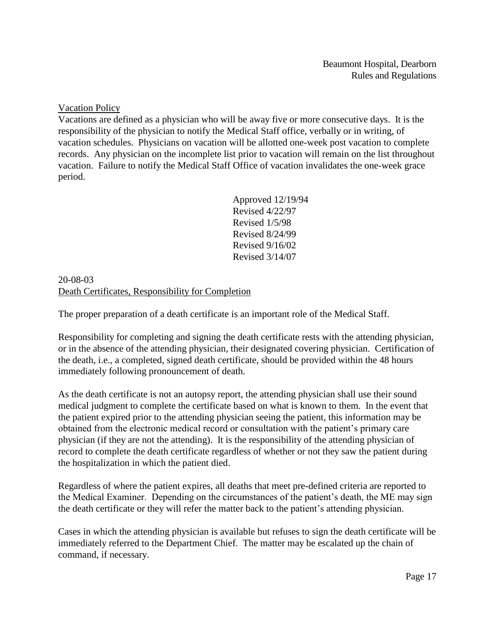Vacation Policy

Vacations are defined as a physician who will be away five or more consecutive days. It is the responsibility of the physician to notify the Medical Staff office, verbally or in writing, of vacation schedules. Physicians on vacation will be allotted one-week post vacation to complete records. Any physician on the incomplete list prior to vacation will remain on the list throughout vacation. Failure to notify the Medical Staff Office of vacation invalidates the one-week grace period.

> Approved 12/19/94 Revised 4/22/97 Revised 1/5/98 Revised 8/24/99 Revised 9/16/02 Revised 3/14/07

20-08-03 Death Certificates, Responsibility for Completion

The proper preparation of a death certificate is an important role of the Medical Staff.

Responsibility for completing and signing the death certificate rests with the attending physician, or in the absence of the attending physician, their designated covering physician. Certification of the death, i.e., a completed, signed death certificate, should be provided within the 48 hours immediately following pronouncement of death.

As the death certificate is not an autopsy report, the attending physician shall use their sound medical judgment to complete the certificate based on what is known to them. In the event that the patient expired prior to the attending physician seeing the patient, this information may be obtained from the electronic medical record or consultation with the patient's primary care physician (if they are not the attending). It is the responsibility of the attending physician of record to complete the death certificate regardless of whether or not they saw the patient during the hospitalization in which the patient died.

Regardless of where the patient expires, all deaths that meet pre-defined criteria are reported to the Medical Examiner. Depending on the circumstances of the patient's death, the ME may sign the death certificate or they will refer the matter back to the patient's attending physician.

Cases in which the attending physician is available but refuses to sign the death certificate will be immediately referred to the Department Chief. The matter may be escalated up the chain of command, if necessary.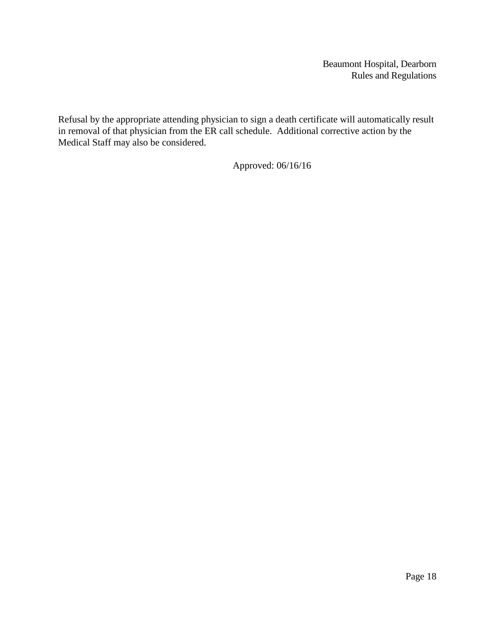Refusal by the appropriate attending physician to sign a death certificate will automatically result in removal of that physician from the ER call schedule. Additional corrective action by the Medical Staff may also be considered.

Approved: 06/16/16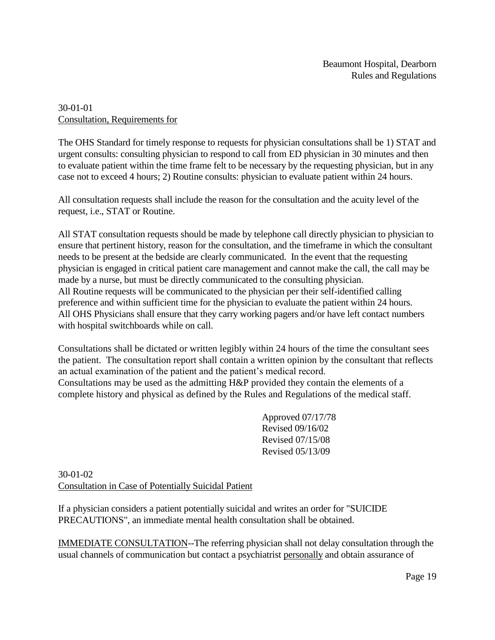### 30-01-01 Consultation, Requirements for

The OHS Standard for timely response to requests for physician consultations shall be 1) STAT and urgent consults: consulting physician to respond to call from ED physician in 30 minutes and then to evaluate patient within the time frame felt to be necessary by the requesting physician, but in any case not to exceed 4 hours; 2) Routine consults: physician to evaluate patient within 24 hours.

All consultation requests shall include the reason for the consultation and the acuity level of the request, i.e., STAT or Routine.

All STAT consultation requests should be made by telephone call directly physician to physician to ensure that pertinent history, reason for the consultation, and the timeframe in which the consultant needs to be present at the bedside are clearly communicated. In the event that the requesting physician is engaged in critical patient care management and cannot make the call, the call may be made by a nurse, but must be directly communicated to the consulting physician. All Routine requests will be communicated to the physician per their self-identified calling preference and within sufficient time for the physician to evaluate the patient within 24 hours. All OHS Physicians shall ensure that they carry working pagers and/or have left contact numbers with hospital switchboards while on call.

Consultations shall be dictated or written legibly within 24 hours of the time the consultant sees the patient. The consultation report shall contain a written opinion by the consultant that reflects an actual examination of the patient and the patient's medical record. Consultations may be used as the admitting H&P provided they contain the elements of a complete history and physical as defined by the Rules and Regulations of the medical staff.

> Approved 07/17/78 Revised 09/16/02 Revised 07/15/08 Revised 05/13/09

30-01-02 Consultation in Case of Potentially Suicidal Patient

If a physician considers a patient potentially suicidal and writes an order for "SUICIDE PRECAUTIONS", an immediate mental health consultation shall be obtained.

IMMEDIATE CONSULTATION--The referring physician shall not delay consultation through the usual channels of communication but contact a psychiatrist personally and obtain assurance of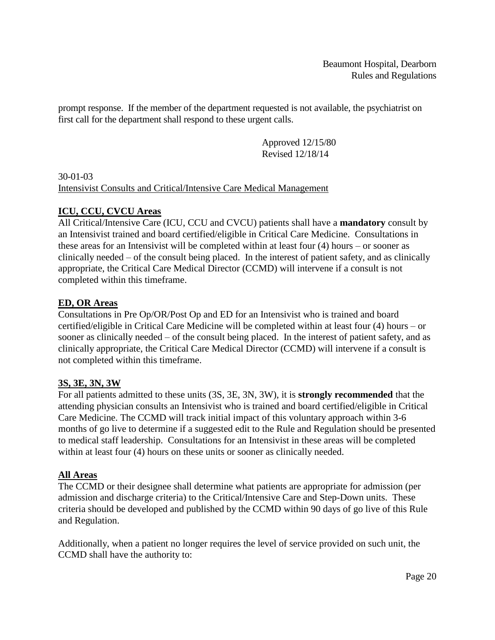prompt response. If the member of the department requested is not available, the psychiatrist on first call for the department shall respond to these urgent calls.

> Approved 12/15/80 Revised 12/18/14

30-01-03 Intensivist Consults and Critical/Intensive Care Medical Management

# **ICU, CCU, CVCU Areas**

All Critical/Intensive Care (ICU, CCU and CVCU) patients shall have a **mandatory** consult by an Intensivist trained and board certified/eligible in Critical Care Medicine. Consultations in these areas for an Intensivist will be completed within at least four (4) hours – or sooner as clinically needed – of the consult being placed. In the interest of patient safety, and as clinically appropriate, the Critical Care Medical Director (CCMD) will intervene if a consult is not completed within this timeframe.

# **ED, OR Areas**

Consultations in Pre Op/OR/Post Op and ED for an Intensivist who is trained and board certified/eligible in Critical Care Medicine will be completed within at least four (4) hours – or sooner as clinically needed – of the consult being placed. In the interest of patient safety, and as clinically appropriate, the Critical Care Medical Director (CCMD) will intervene if a consult is not completed within this timeframe.

### **3S, 3E, 3N, 3W**

For all patients admitted to these units (3S, 3E, 3N, 3W), it is **strongly recommended** that the attending physician consults an Intensivist who is trained and board certified/eligible in Critical Care Medicine. The CCMD will track initial impact of this voluntary approach within 3-6 months of go live to determine if a suggested edit to the Rule and Regulation should be presented to medical staff leadership. Consultations for an Intensivist in these areas will be completed within at least four (4) hours on these units or sooner as clinically needed.

### **All Areas**

The CCMD or their designee shall determine what patients are appropriate for admission (per admission and discharge criteria) to the Critical/Intensive Care and Step-Down units. These criteria should be developed and published by the CCMD within 90 days of go live of this Rule and Regulation.

Additionally, when a patient no longer requires the level of service provided on such unit, the CCMD shall have the authority to: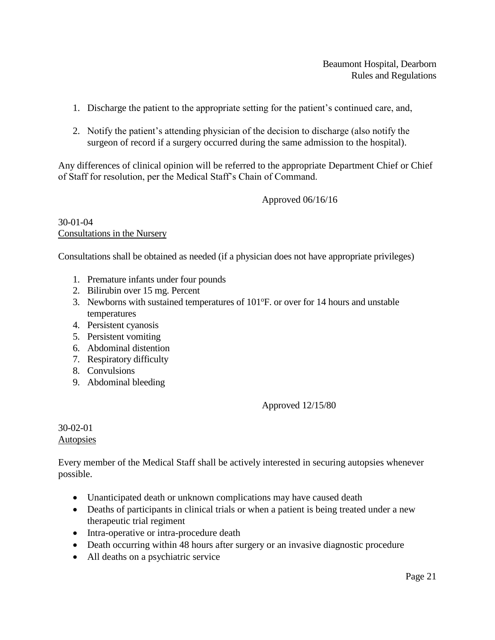- 1. Discharge the patient to the appropriate setting for the patient's continued care, and,
- 2. Notify the patient's attending physician of the decision to discharge (also notify the surgeon of record if a surgery occurred during the same admission to the hospital).

Any differences of clinical opinion will be referred to the appropriate Department Chief or Chief of Staff for resolution, per the Medical Staff's Chain of Command.

Approved 06/16/16

30-01-04 Consultations in the Nursery

Consultations shall be obtained as needed (if a physician does not have appropriate privileges)

- 1. Premature infants under four pounds
- 2. Bilirubin over 15 mg. Percent
- 3. Newborns with sustained temperatures of 101°F. or over for 14 hours and unstable temperatures
- 4. Persistent cyanosis
- 5. Persistent vomiting
- 6. Abdominal distention
- 7. Respiratory difficulty
- 8. Convulsions
- 9. Abdominal bleeding

Approved 12/15/80

30-02-01 **Autopsies** 

Every member of the Medical Staff shall be actively interested in securing autopsies whenever possible.

- Unanticipated death or unknown complications may have caused death
- Deaths of participants in clinical trials or when a patient is being treated under a new therapeutic trial regiment
- Intra-operative or intra-procedure death
- Death occurring within 48 hours after surgery or an invasive diagnostic procedure
- All deaths on a psychiatric service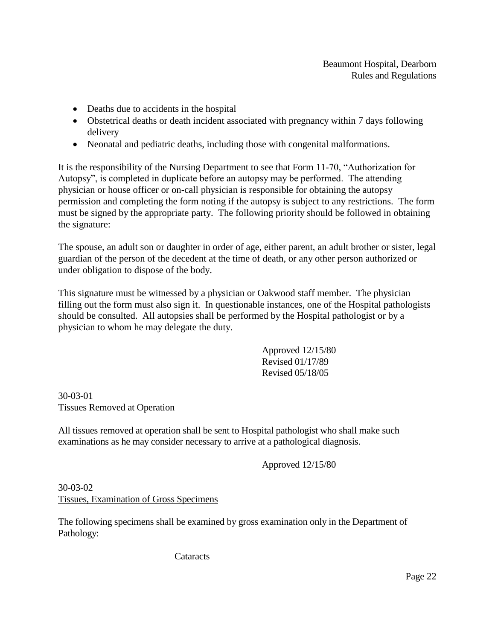- Deaths due to accidents in the hospital
- Obstetrical deaths or death incident associated with pregnancy within 7 days following delivery
- Neonatal and pediatric deaths, including those with congenital malformations.

It is the responsibility of the Nursing Department to see that Form 11-70, "Authorization for Autopsy", is completed in duplicate before an autopsy may be performed. The attending physician or house officer or on-call physician is responsible for obtaining the autopsy permission and completing the form noting if the autopsy is subject to any restrictions. The form must be signed by the appropriate party. The following priority should be followed in obtaining the signature:

The spouse, an adult son or daughter in order of age, either parent, an adult brother or sister, legal guardian of the person of the decedent at the time of death, or any other person authorized or under obligation to dispose of the body.

This signature must be witnessed by a physician or Oakwood staff member. The physician filling out the form must also sign it. In questionable instances, one of the Hospital pathologists should be consulted. All autopsies shall be performed by the Hospital pathologist or by a physician to whom he may delegate the duty.

> Approved 12/15/80 Revised 01/17/89 Revised 05/18/05

30-03-01 Tissues Removed at Operation

All tissues removed at operation shall be sent to Hospital pathologist who shall make such examinations as he may consider necessary to arrive at a pathological diagnosis.

Approved 12/15/80

30-03-02 Tissues, Examination of Gross Specimens

The following specimens shall be examined by gross examination only in the Department of Pathology:

**Cataracts**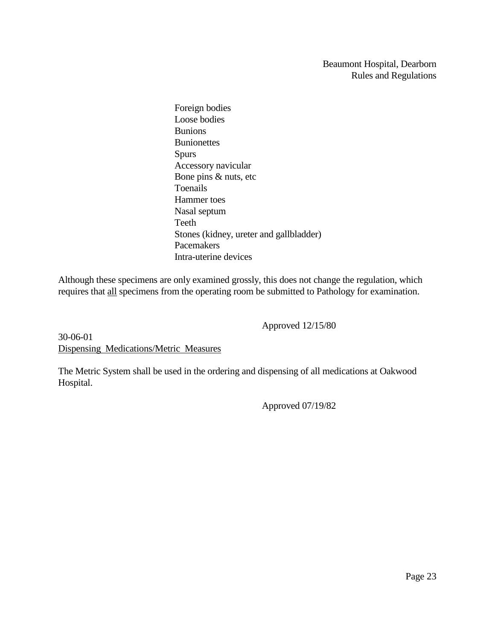Foreign bodies Loose bodies Bunions **Bunionettes** Spurs Accessory navicular Bone pins & nuts, etc Toenails Hammer toes Nasal septum Teeth Stones (kidney, ureter and gallbladder) Pacemakers Intra-uterine devices

Although these specimens are only examined grossly, this does not change the regulation, which requires that all specimens from the operating room be submitted to Pathology for examination.

Approved 12/15/80

30-06-01 Dispensing Medications/Metric Measures

The Metric System shall be used in the ordering and dispensing of all medications at Oakwood Hospital.

Approved 07/19/82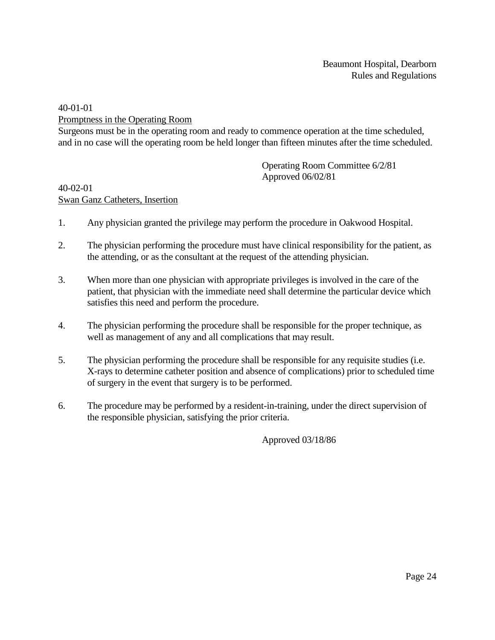40-01-01

Promptness in the Operating Room

Surgeons must be in the operating room and ready to commence operation at the time scheduled, and in no case will the operating room be held longer than fifteen minutes after the time scheduled.

> Operating Room Committee 6/2/81 Approved 06/02/81

#### 40-02-01 Swan Ganz Catheters, Insertion

- 1. Any physician granted the privilege may perform the procedure in Oakwood Hospital.
- 2. The physician performing the procedure must have clinical responsibility for the patient, as the attending, or as the consultant at the request of the attending physician.
- 3. When more than one physician with appropriate privileges is involved in the care of the patient, that physician with the immediate need shall determine the particular device which satisfies this need and perform the procedure.
- 4. The physician performing the procedure shall be responsible for the proper technique, as well as management of any and all complications that may result.
- 5. The physician performing the procedure shall be responsible for any requisite studies (i.e. X-rays to determine catheter position and absence of complications) prior to scheduled time of surgery in the event that surgery is to be performed.
- 6. The procedure may be performed by a resident-in-training, under the direct supervision of the responsible physician, satisfying the prior criteria.

Approved 03/18/86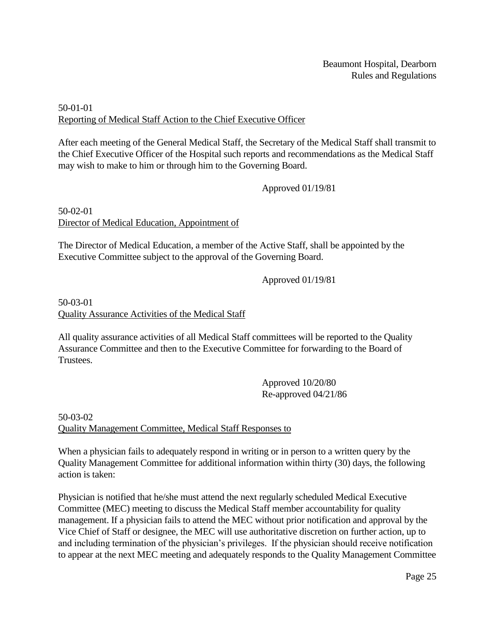# 50-01-01 Reporting of Medical Staff Action to the Chief Executive Officer

After each meeting of the General Medical Staff, the Secretary of the Medical Staff shall transmit to the Chief Executive Officer of the Hospital such reports and recommendations as the Medical Staff may wish to make to him or through him to the Governing Board.

### Approved 01/19/81

50-02-01 Director of Medical Education, Appointment of

The Director of Medical Education, a member of the Active Staff, shall be appointed by the Executive Committee subject to the approval of the Governing Board.

Approved 01/19/81

# 50-03-01 Quality Assurance Activities of the Medical Staff

All quality assurance activities of all Medical Staff committees will be reported to the Quality Assurance Committee and then to the Executive Committee for forwarding to the Board of Trustees.

> Approved 10/20/80 Re-approved 04/21/86

50-03-02 Quality Management Committee, Medical Staff Responses to

When a physician fails to adequately respond in writing or in person to a written query by the Quality Management Committee for additional information within thirty (30) days, the following action is taken:

Physician is notified that he/she must attend the next regularly scheduled Medical Executive Committee (MEC) meeting to discuss the Medical Staff member accountability for quality management. If a physician fails to attend the MEC without prior notification and approval by the Vice Chief of Staff or designee, the MEC will use authoritative discretion on further action, up to and including termination of the physician's privileges. If the physician should receive notification to appear at the next MEC meeting and adequately responds to the Quality Management Committee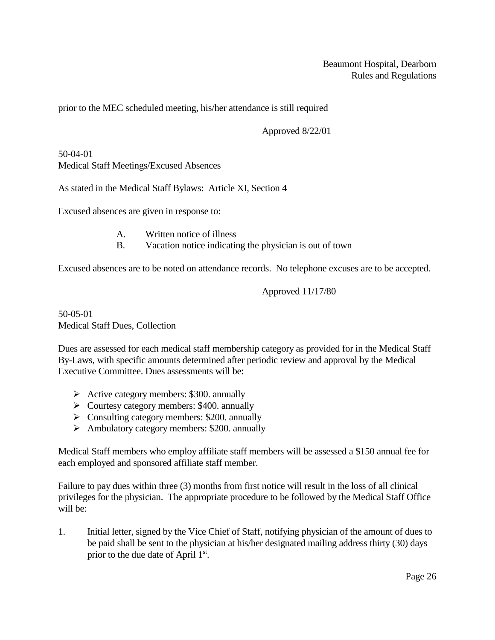prior to the MEC scheduled meeting, his/her attendance is still required

Approved 8/22/01

50-04-01 Medical Staff Meetings/Excused Absences

As stated in the Medical Staff Bylaws: Article XI, Section 4

Excused absences are given in response to:

- A. Written notice of illness
- B. Vacation notice indicating the physician is out of town

Excused absences are to be noted on attendance records. No telephone excuses are to be accepted.

Approved 11/17/80

50-05-01 Medical Staff Dues, Collection

Dues are assessed for each medical staff membership category as provided for in the Medical Staff By-Laws, with specific amounts determined after periodic review and approval by the Medical Executive Committee. Dues assessments will be:

- $\triangleright$  Active category members: \$300. annually
- ➢ Courtesy category members: \$400. annually
- $\triangleright$  Consulting category members: \$200. annually
- ➢ Ambulatory category members: \$200. annually

Medical Staff members who employ affiliate staff members will be assessed a \$150 annual fee for each employed and sponsored affiliate staff member.

Failure to pay dues within three (3) months from first notice will result in the loss of all clinical privileges for the physician. The appropriate procedure to be followed by the Medical Staff Office will be:

1. Initial letter, signed by the Vice Chief of Staff, notifying physician of the amount of dues to be paid shall be sent to the physician at his/her designated mailing address thirty (30) days prior to the due date of April 1st.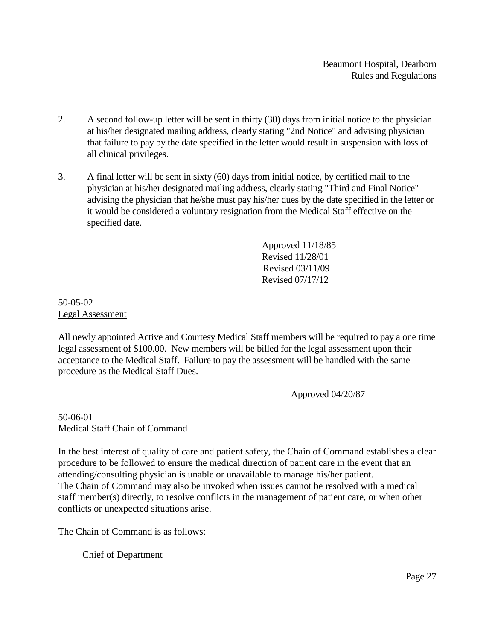- 2. A second follow-up letter will be sent in thirty (30) days from initial notice to the physician at his/her designated mailing address, clearly stating "2nd Notice" and advising physician that failure to pay by the date specified in the letter would result in suspension with loss of all clinical privileges.
- 3. A final letter will be sent in sixty (60) days from initial notice, by certified mail to the physician at his/her designated mailing address, clearly stating "Third and Final Notice" advising the physician that he/she must pay his/her dues by the date specified in the letter or it would be considered a voluntary resignation from the Medical Staff effective on the specified date.

Approved 11/18/85 Revised 11/28/01 Revised 03/11/09 Revised 07/17/12

### 50-05-02 Legal Assessment

All newly appointed Active and Courtesy Medical Staff members will be required to pay a one time legal assessment of \$100.00. New members will be billed for the legal assessment upon their acceptance to the Medical Staff. Failure to pay the assessment will be handled with the same procedure as the Medical Staff Dues.

Approved 04/20/87

### 50-06-01 Medical Staff Chain of Command

In the best interest of quality of care and patient safety, the Chain of Command establishes a clear procedure to be followed to ensure the medical direction of patient care in the event that an attending/consulting physician is unable or unavailable to manage his/her patient. The Chain of Command may also be invoked when issues cannot be resolved with a medical staff member(s) directly, to resolve conflicts in the management of patient care, or when other conflicts or unexpected situations arise.

The Chain of Command is as follows:

Chief of Department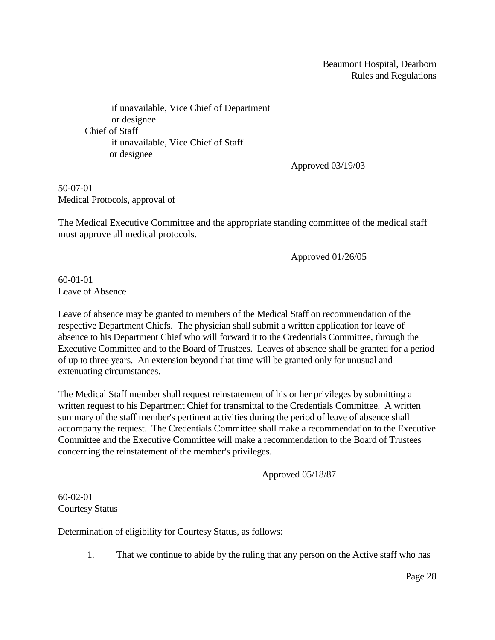if unavailable, Vice Chief of Department or designee Chief of Staff if unavailable, Vice Chief of Staff or designee

Approved 03/19/03

50-07-01 Medical Protocols, approval of

The Medical Executive Committee and the appropriate standing committee of the medical staff must approve all medical protocols.

Approved 01/26/05

60-01-01 Leave of Absence

Leave of absence may be granted to members of the Medical Staff on recommendation of the respective Department Chiefs. The physician shall submit a written application for leave of absence to his Department Chief who will forward it to the Credentials Committee, through the Executive Committee and to the Board of Trustees. Leaves of absence shall be granted for a period of up to three years. An extension beyond that time will be granted only for unusual and extenuating circumstances.

The Medical Staff member shall request reinstatement of his or her privileges by submitting a written request to his Department Chief for transmittal to the Credentials Committee. A written summary of the staff member's pertinent activities during the period of leave of absence shall accompany the request. The Credentials Committee shall make a recommendation to the Executive Committee and the Executive Committee will make a recommendation to the Board of Trustees concerning the reinstatement of the member's privileges.

Approved 05/18/87

#### 60-02-01 Courtesy Status

Determination of eligibility for Courtesy Status, as follows:

1. That we continue to abide by the ruling that any person on the Active staff who has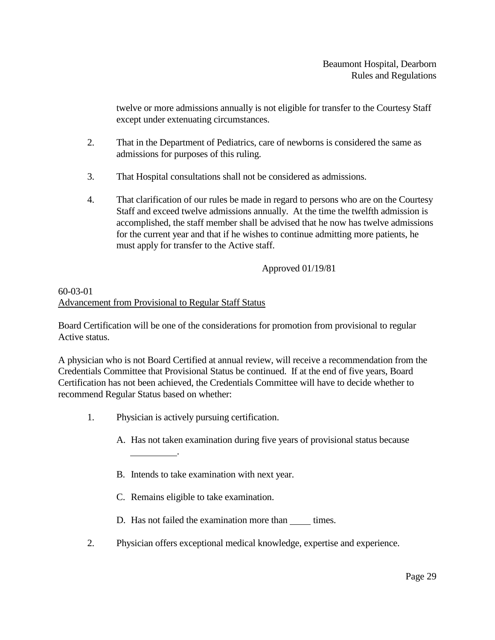twelve or more admissions annually is not eligible for transfer to the Courtesy Staff except under extenuating circumstances.

- 2. That in the Department of Pediatrics, care of newborns is considered the same as admissions for purposes of this ruling.
- 3. That Hospital consultations shall not be considered as admissions.
- 4. That clarification of our rules be made in regard to persons who are on the Courtesy Staff and exceed twelve admissions annually. At the time the twelfth admission is accomplished, the staff member shall be advised that he now has twelve admissions for the current year and that if he wishes to continue admitting more patients, he must apply for transfer to the Active staff.

### Approved 01/19/81

# 60-03-01 Advancement from Provisional to Regular Staff Status

Board Certification will be one of the considerations for promotion from provisional to regular Active status.

A physician who is not Board Certified at annual review, will receive a recommendation from the Credentials Committee that Provisional Status be continued. If at the end of five years, Board Certification has not been achieved, the Credentials Committee will have to decide whether to recommend Regular Status based on whether:

1. Physician is actively pursuing certification.

.

- A. Has not taken examination during five years of provisional status because
- B. Intends to take examination with next year.
- C. Remains eligible to take examination.
- D. Has not failed the examination more than times.
- 2. Physician offers exceptional medical knowledge, expertise and experience.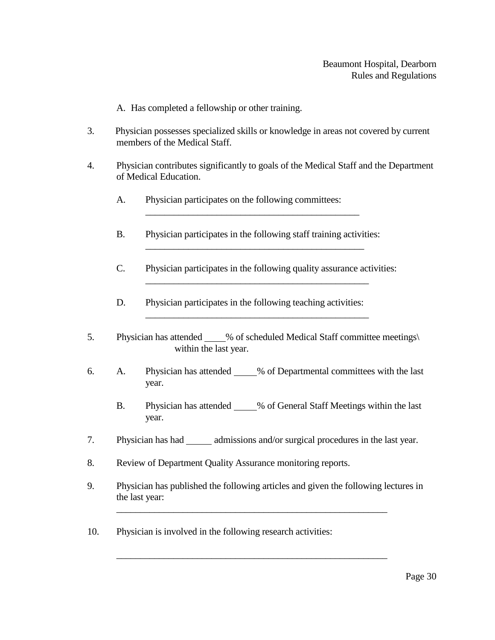A. Has completed a fellowship or other training.

- 3. Physician possesses specialized skills or knowledge in areas not covered by current members of the Medical Staff.
- 4. Physician contributes significantly to goals of the Medical Staff and the Department of Medical Education.
	- A. Physician participates on the following committees:
	- B. Physician participates in the following staff training activities:

\_\_\_\_\_\_\_\_\_\_\_\_\_\_\_\_\_\_\_\_\_\_\_\_\_\_\_\_\_\_\_\_\_\_\_\_\_\_\_\_\_\_\_\_\_

C. Physician participates in the following quality assurance activities: \_\_\_\_\_\_\_\_\_\_\_\_\_\_\_\_\_\_\_\_\_\_\_\_\_\_\_\_\_\_\_\_\_\_\_\_\_\_\_\_\_\_\_\_\_\_\_

\_\_\_\_\_\_\_\_\_\_\_\_\_\_\_\_\_\_\_\_\_\_\_\_\_\_\_\_\_\_\_\_\_\_\_\_\_\_\_\_\_\_\_\_\_\_

- D. Physician participates in the following teaching activities:
- 5. Physician has attended % of scheduled Medical Staff committee meetings\ within the last year.

\_\_\_\_\_\_\_\_\_\_\_\_\_\_\_\_\_\_\_\_\_\_\_\_\_\_\_\_\_\_\_\_\_\_\_\_\_\_\_\_\_\_\_\_\_\_\_

- 6. A. Physician has attended 1% of Departmental committees with the last year.
	- B. Physician has attended 3% of General Staff Meetings within the last year.
- 7. Physician has had admissions and/or surgical procedures in the last year.
- 8. Review of Department Quality Assurance monitoring reports.
- 9. Physician has published the following articles and given the following lectures in the last year:

\_\_\_\_\_\_\_\_\_\_\_\_\_\_\_\_\_\_\_\_\_\_\_\_\_\_\_\_\_\_\_\_\_\_\_\_\_\_\_\_\_\_\_\_\_\_\_\_\_\_\_\_\_\_\_\_\_

\_\_\_\_\_\_\_\_\_\_\_\_\_\_\_\_\_\_\_\_\_\_\_\_\_\_\_\_\_\_\_\_\_\_\_\_\_\_\_\_\_\_\_\_\_\_\_\_\_\_\_\_\_\_\_\_\_

10. Physician is involved in the following research activities: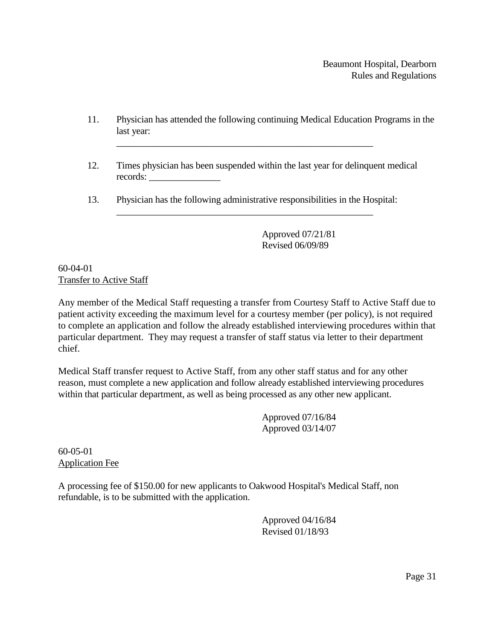- 11. Physician has attended the following continuing Medical Education Programs in the last year:
- 12. Times physician has been suspended within the last year for delinquent medical records: \_\_\_\_\_\_\_\_\_\_\_\_\_\_\_
- 13. Physician has the following administrative responsibilities in the Hospital: \_\_\_\_\_\_\_\_\_\_\_\_\_\_\_\_\_\_\_\_\_\_\_\_\_\_\_\_\_\_\_\_\_\_\_\_\_\_\_\_\_\_\_\_\_\_\_\_\_\_\_\_\_\_

\_\_\_\_\_\_\_\_\_\_\_\_\_\_\_\_\_\_\_\_\_\_\_\_\_\_\_\_\_\_\_\_\_\_\_\_\_\_\_\_\_\_\_\_\_\_\_\_\_\_\_\_\_\_

Approved 07/21/81 Revised 06/09/89

60-04-01 Transfer to Active Staff

Any member of the Medical Staff requesting a transfer from Courtesy Staff to Active Staff due to patient activity exceeding the maximum level for a courtesy member (per policy), is not required to complete an application and follow the already established interviewing procedures within that particular department. They may request a transfer of staff status via letter to their department chief.

Medical Staff transfer request to Active Staff, from any other staff status and for any other reason, must complete a new application and follow already established interviewing procedures within that particular department, as well as being processed as any other new applicant.

> Approved 07/16/84 Approved 03/14/07

60-05-01 Application Fee

A processing fee of \$150.00 for new applicants to Oakwood Hospital's Medical Staff, non refundable, is to be submitted with the application.

> Approved 04/16/84 Revised 01/18/93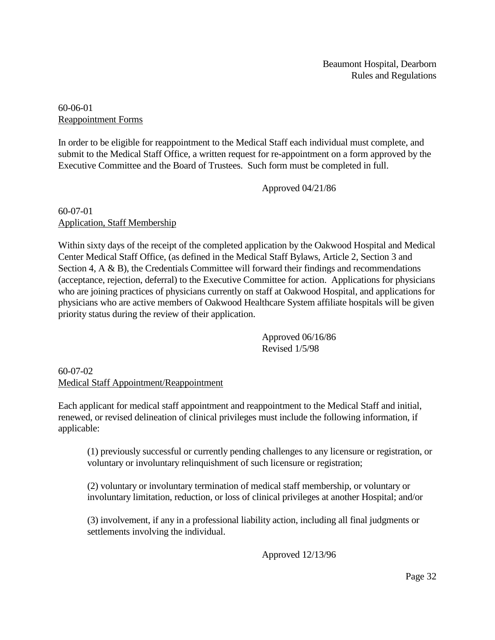60-06-01 Reappointment Forms

In order to be eligible for reappointment to the Medical Staff each individual must complete, and submit to the Medical Staff Office, a written request for re-appointment on a form approved by the Executive Committee and the Board of Trustees. Such form must be completed in full.

Approved 04/21/86

#### 60-07-01 Application, Staff Membership

Within sixty days of the receipt of the completed application by the Oakwood Hospital and Medical Center Medical Staff Office, (as defined in the Medical Staff Bylaws, Article 2, Section 3 and Section 4, A & B), the Credentials Committee will forward their findings and recommendations (acceptance, rejection, deferral) to the Executive Committee for action. Applications for physicians who are joining practices of physicians currently on staff at Oakwood Hospital, and applications for physicians who are active members of Oakwood Healthcare System affiliate hospitals will be given priority status during the review of their application.

> Approved 06/16/86 Revised 1/5/98

60-07-02 Medical Staff Appointment/Reappointment

Each applicant for medical staff appointment and reappointment to the Medical Staff and initial, renewed, or revised delineation of clinical privileges must include the following information, if applicable:

(1) previously successful or currently pending challenges to any licensure or registration, or voluntary or involuntary relinquishment of such licensure or registration;

(2) voluntary or involuntary termination of medical staff membership, or voluntary or involuntary limitation, reduction, or loss of clinical privileges at another Hospital; and/or

(3) involvement, if any in a professional liability action, including all final judgments or settlements involving the individual.

Approved 12/13/96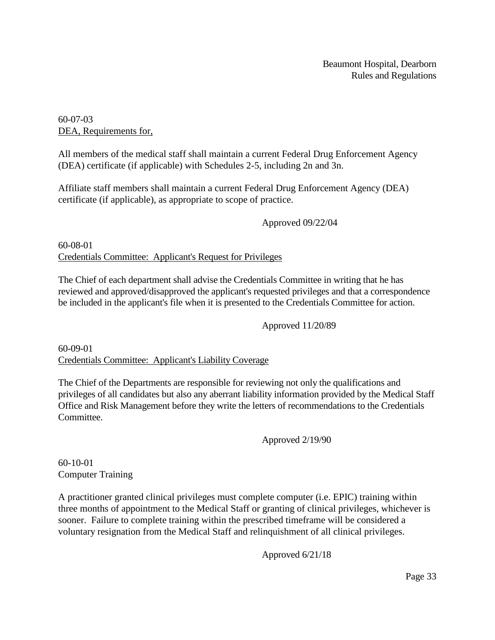60-07-03 DEA, Requirements for,

All members of the medical staff shall maintain a current Federal Drug Enforcement Agency (DEA) certificate (if applicable) with Schedules 2-5, including 2n and 3n.

Affiliate staff members shall maintain a current Federal Drug Enforcement Agency (DEA) certificate (if applicable), as appropriate to scope of practice.

Approved 09/22/04

60-08-01 Credentials Committee: Applicant's Request for Privileges

The Chief of each department shall advise the Credentials Committee in writing that he has reviewed and approved/disapproved the applicant's requested privileges and that a correspondence be included in the applicant's file when it is presented to the Credentials Committee for action.

Approved 11/20/89

60-09-01 Credentials Committee: Applicant's Liability Coverage

The Chief of the Departments are responsible for reviewing not only the qualifications and privileges of all candidates but also any aberrant liability information provided by the Medical Staff Office and Risk Management before they write the letters of recommendations to the Credentials Committee.

Approved 2/19/90

60-10-01 Computer Training

A practitioner granted clinical privileges must complete computer (i.e. EPIC) training within three months of appointment to the Medical Staff or granting of clinical privileges, whichever is sooner. Failure to complete training within the prescribed timeframe will be considered a voluntary resignation from the Medical Staff and relinquishment of all clinical privileges.

Approved 6/21/18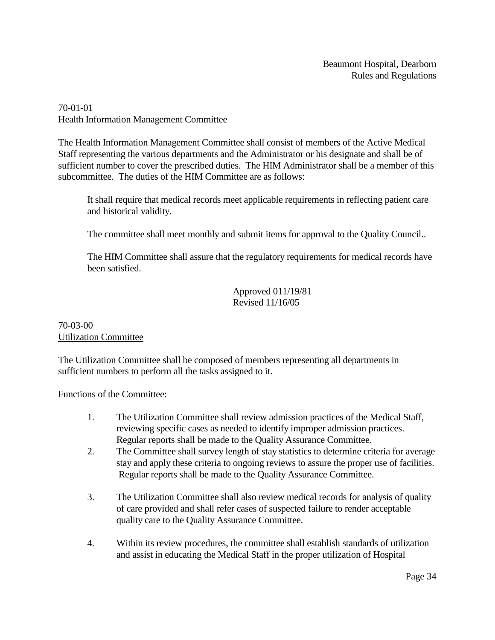# 70-01-01 Health Information Management Committee

The Health Information Management Committee shall consist of members of the Active Medical Staff representing the various departments and the Administrator or his designate and shall be of sufficient number to cover the prescribed duties. The HIM Administrator shall be a member of this subcommittee. The duties of the HIM Committee are as follows:

It shall require that medical records meet applicable requirements in reflecting patient care and historical validity.

The committee shall meet monthly and submit items for approval to the Quality Council..

The HIM Committee shall assure that the regulatory requirements for medical records have been satisfied.

> Approved 011/19/81 Revised 11/16/05

### 70-03-00 Utilization Committee

The Utilization Committee shall be composed of members representing all departments in sufficient numbers to perform all the tasks assigned to it.

Functions of the Committee:

- 1. The Utilization Committee shall review admission practices of the Medical Staff, reviewing specific cases as needed to identify improper admission practices. Regular reports shall be made to the Quality Assurance Committee.
- 2. The Committee shall survey length of stay statistics to determine criteria for average stay and apply these criteria to ongoing reviews to assure the proper use of facilities. Regular reports shall be made to the Quality Assurance Committee.
- 3. The Utilization Committee shall also review medical records for analysis of quality of care provided and shall refer cases of suspected failure to render acceptable quality care to the Quality Assurance Committee.
- 4. Within its review procedures, the committee shall establish standards of utilization and assist in educating the Medical Staff in the proper utilization of Hospital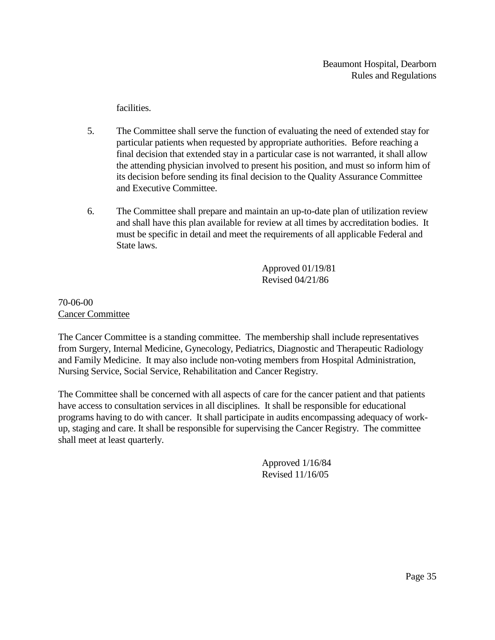facilities.

- 5. The Committee shall serve the function of evaluating the need of extended stay for particular patients when requested by appropriate authorities. Before reaching a final decision that extended stay in a particular case is not warranted, it shall allow the attending physician involved to present his position, and must so inform him of its decision before sending its final decision to the Quality Assurance Committee and Executive Committee.
- 6. The Committee shall prepare and maintain an up-to-date plan of utilization review and shall have this plan available for review at all times by accreditation bodies. It must be specific in detail and meet the requirements of all applicable Federal and State laws.

Approved 01/19/81 Revised 04/21/86

### 70-06-00 Cancer Committee

The Cancer Committee is a standing committee. The membership shall include representatives from Surgery, Internal Medicine, Gynecology, Pediatrics, Diagnostic and Therapeutic Radiology and Family Medicine. It may also include non-voting members from Hospital Administration, Nursing Service, Social Service, Rehabilitation and Cancer Registry.

The Committee shall be concerned with all aspects of care for the cancer patient and that patients have access to consultation services in all disciplines. It shall be responsible for educational programs having to do with cancer. It shall participate in audits encompassing adequacy of workup, staging and care. It shall be responsible for supervising the Cancer Registry. The committee shall meet at least quarterly.

> Approved 1/16/84 Revised 11/16/05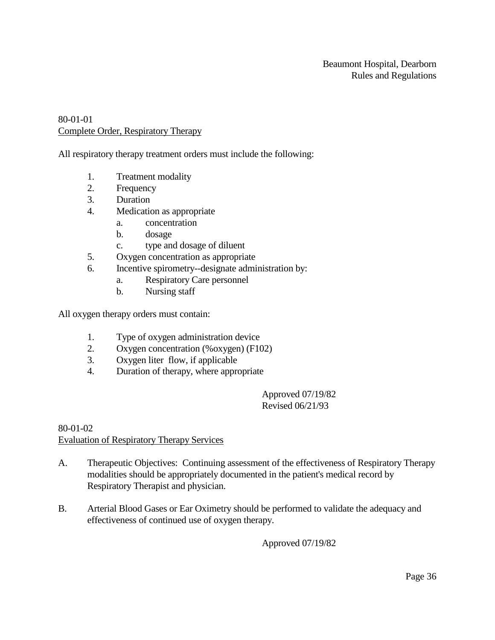### 80-01-01 Complete Order, Respiratory Therapy

All respiratory therapy treatment orders must include the following:

- 1. Treatment modality
- 2. Frequency
- 3. Duration
- 4. Medication as appropriate
	- a. concentration
	- b. dosage
	- c. type and dosage of diluent
- 5. Oxygen concentration as appropriate
- 6. Incentive spirometry--designate administration by:
	- a. Respiratory Care personnel
	- b. Nursing staff

All oxygen therapy orders must contain:

- 1. Type of oxygen administration device
- 2. Oxygen concentration (%oxygen) (F102)
- 3. Oxygen liter flow, if applicable
- 4. Duration of therapy, where appropriate

Approved 07/19/82 Revised 06/21/93

#### 80-01-02 Evaluation of Respiratory Therapy Services

- A. Therapeutic Objectives: Continuing assessment of the effectiveness of Respiratory Therapy modalities should be appropriately documented in the patient's medical record by Respiratory Therapist and physician.
- B. Arterial Blood Gases or Ear Oximetry should be performed to validate the adequacy and effectiveness of continued use of oxygen therapy.

Approved 07/19/82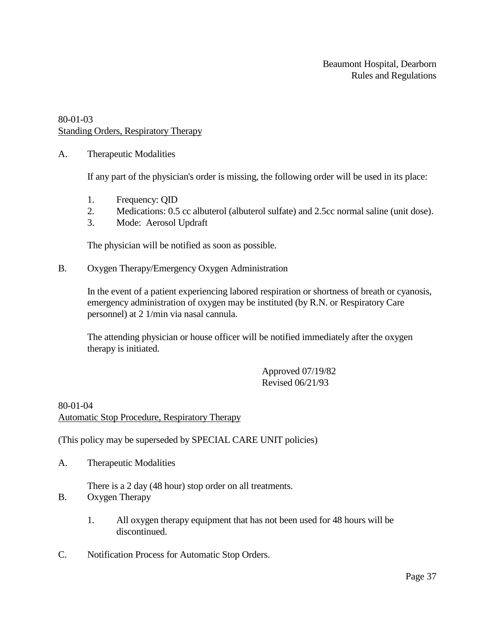### 80-01-03 Standing Orders, Respiratory Therapy

A. Therapeutic Modalities

If any part of the physician's order is missing, the following order will be used in its place:

- 1. Frequency: QID
- 2. Medications: 0.5 cc albuterol (albuterol sulfate) and 2.5cc normal saline (unit dose).
- 3. Mode: Aerosol Updraft

The physician will be notified as soon as possible.

B. Oxygen Therapy/Emergency Oxygen Administration

In the event of a patient experiencing labored respiration or shortness of breath or cyanosis, emergency administration of oxygen may be instituted (by R.N. or Respiratory Care personnel) at 2 1/min via nasal cannula.

The attending physician or house officer will be notified immediately after the oxygen therapy is initiated.

> Approved 07/19/82 Revised 06/21/93

### 80-01-04 Automatic Stop Procedure, Respiratory Therapy

(This policy may be superseded by SPECIAL CARE UNIT policies)

A. Therapeutic Modalities

There is a 2 day (48 hour) stop order on all treatments.

- B. Oxygen Therapy
	- 1. All oxygen therapy equipment that has not been used for 48 hours will be discontinued.
- C. Notification Process for Automatic Stop Orders.